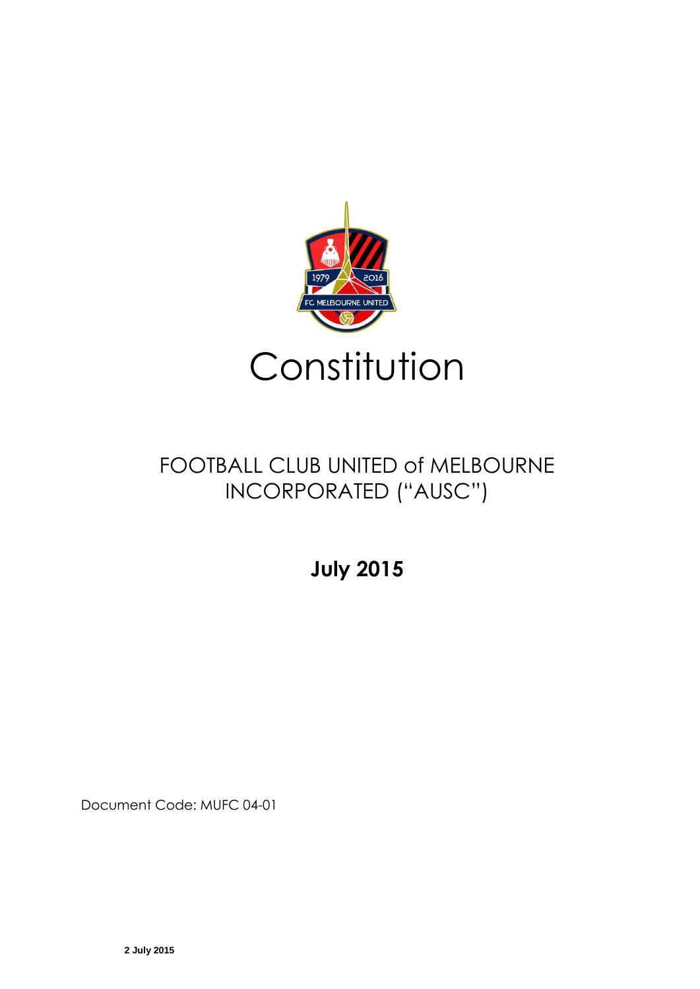

# FOOTBALL CLUB UNITED of MELBOURNE INCORPORATED ("AUSC")

**July 2015**

Document Code: MUFC 04-01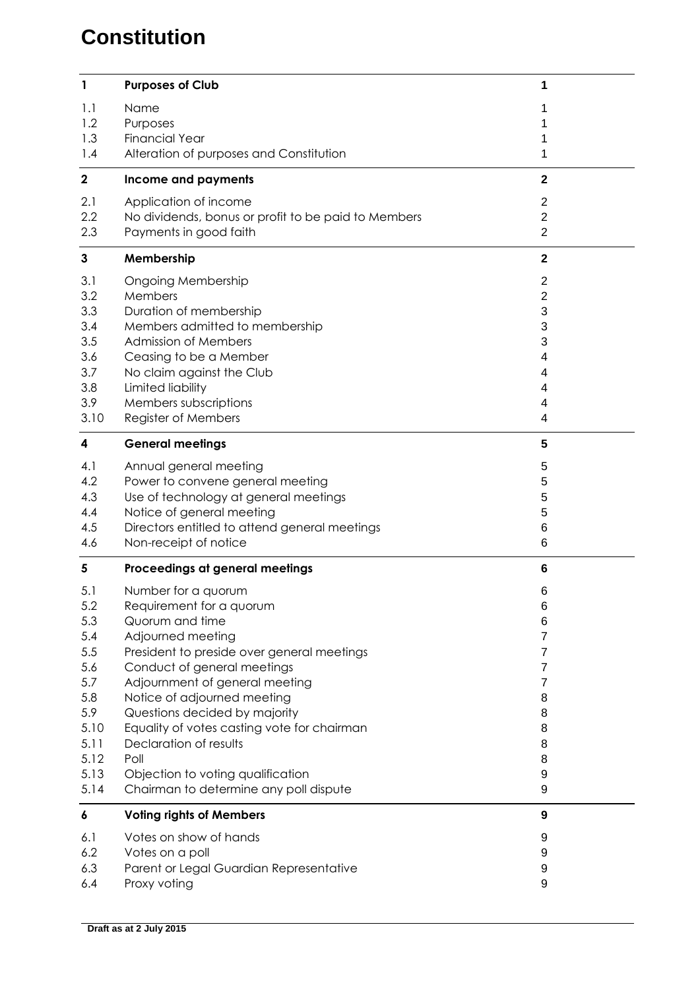# **Constitution**

| 1                       | <b>Purposes of Club</b>                                                       | 1                              |
|-------------------------|-------------------------------------------------------------------------------|--------------------------------|
| 1.1<br>1.2              | Name<br>Purposes                                                              |                                |
| 1.3<br>1.4              | <b>Financial Year</b><br>Alteration of purposes and Constitution              | 1<br>1                         |
| $\mathbf 2$             | Income and payments                                                           | $\mathbf{2}$                   |
| 2.1                     | Application of income                                                         | $\overline{2}$                 |
| 2.2<br>2.3              | No dividends, bonus or profit to be paid to Members<br>Payments in good faith | $\mathbf{2}$<br>$\overline{2}$ |
| $\mathbf{3}$            | Membership                                                                    | $\mathbf{2}$                   |
| 3.1                     | <b>Ongoing Membership</b>                                                     | 2                              |
| 3.2<br>3.3              | Members<br>Duration of membership                                             | $\overline{2}$<br>3            |
| 3.4                     | Members admitted to membership                                                | 3                              |
| 3.5                     | <b>Admission of Members</b>                                                   | 3                              |
| 3.6<br>3.7              | Ceasing to be a Member<br>No claim against the Club                           | 4<br>4                         |
| 3.8                     | Limited liability                                                             | 4                              |
| 3.9                     | Members subscriptions                                                         | 4                              |
| 3.10                    | Register of Members                                                           | 4                              |
| $\overline{\mathbf{4}}$ | <b>General meetings</b>                                                       | 5                              |
| 4.1                     | Annual general meeting                                                        | 5                              |
| 4.2<br>4.3              | Power to convene general meeting<br>Use of technology at general meetings     | 5<br>5                         |
| 4.4                     | Notice of general meeting                                                     | 5                              |
| 4.5                     | Directors entitled to attend general meetings                                 | 6                              |
| 4.6                     | Non-receipt of notice                                                         | 6                              |
| 5                       | Proceedings at general meetings                                               | 6                              |
| 5.1                     | Number for a quorum                                                           | 6                              |
| 5.2<br>5.3              | Requirement for a quorum<br>Quorum and time                                   | 6<br>6                         |
| 5.4                     | Adjourned meeting                                                             | 7                              |
| 5.5                     | President to preside over general meetings                                    | 7                              |
| 5.6                     | Conduct of general meetings                                                   | 7                              |
| 5.7<br>5.8              | Adjournment of general meeting<br>Notice of adjourned meeting                 | 7<br>8                         |
| 5.9                     | Questions decided by majority                                                 | 8                              |
| 5.10                    | Equality of votes casting vote for chairman                                   | 8                              |
| 5.11                    |                                                                               |                                |
| 5.12                    | Declaration of results                                                        | 8                              |
|                         | Poll                                                                          | 8                              |
| 5.13                    | Objection to voting qualification                                             | 9                              |
| 5.14<br>6               | Chairman to determine any poll dispute<br><b>Voting rights of Members</b>     | 9<br>9                         |
| 6.1                     | Votes on show of hands                                                        | 9                              |
| 6.2                     | Votes on a poll                                                               | 9                              |
| 6.3<br>6.4              | Parent or Legal Guardian Representative<br>Proxy voting                       | 9<br>9                         |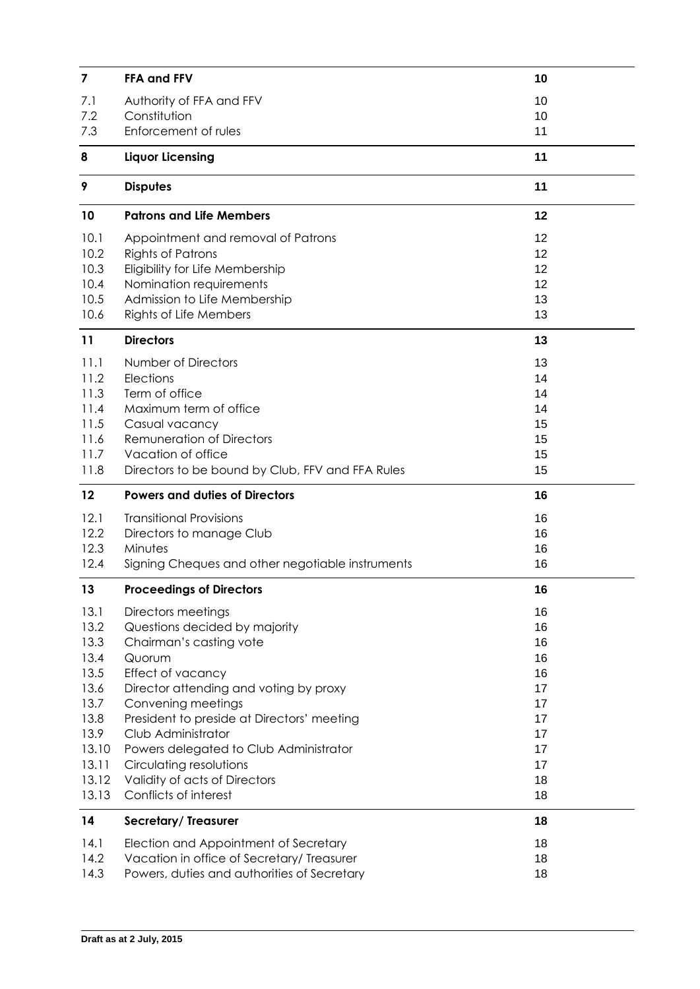| 7            | FFA and FFV                                                                         | 10       |
|--------------|-------------------------------------------------------------------------------------|----------|
| 7.1          | Authority of FFA and FFV                                                            | 10       |
| 7.2          | Constitution                                                                        | 10       |
| 7.3          | Enforcement of rules                                                                | 11       |
| 8            | <b>Liquor Licensing</b>                                                             | 11       |
| 9            | <b>Disputes</b>                                                                     | 11       |
| 10           | <b>Patrons and Life Members</b>                                                     | 12       |
| 10.1         | Appointment and removal of Patrons                                                  | 12       |
| 10.2         | <b>Rights of Patrons</b>                                                            | 12       |
| 10.3         | Eligibility for Life Membership                                                     | 12       |
| 10.4         | Nomination requirements                                                             | 12       |
| 10.5         | Admission to Life Membership                                                        | 13       |
| 10.6         | Rights of Life Members                                                              | 13       |
| 11           | <b>Directors</b>                                                                    | 13       |
| 11.1         | Number of Directors                                                                 | 13       |
| 11.2         | Elections                                                                           | 14       |
| 11.3         | Term of office                                                                      | 14       |
| 11.4         | Maximum term of office                                                              | 14       |
| 11.5         | Casual vacancy                                                                      | 15       |
| 11.6         | <b>Remuneration of Directors</b>                                                    | 15       |
| 11.7         | Vacation of office                                                                  | 15       |
| 11.8         | Directors to be bound by Club, FFV and FFA Rules                                    | 15       |
|              |                                                                                     |          |
| 12           | <b>Powers and duties of Directors</b>                                               | 16       |
| 12.1         | <b>Transitional Provisions</b>                                                      | 16       |
| 12.2         | Directors to manage Club                                                            | 16       |
| 12.3         | Minutes                                                                             | 16       |
| 12.4         | Signing Cheques and other negotiable instruments                                    | 16       |
| 13           | <b>Proceedings of Directors</b>                                                     | 16       |
| 13.1         | Directors meetings                                                                  | 16       |
| 13.2         | Questions decided by majority                                                       | 16       |
| 13.3         | Chairman's casting vote                                                             | 16       |
| 13.4         | Quorum                                                                              | 16       |
| 13.5         | Effect of vacancy                                                                   | 16       |
| 13.6         | Director attending and voting by proxy                                              | 17       |
| 13.7         | Convening meetings                                                                  | 17       |
| 13.8         | President to preside at Directors' meeting                                          | 17       |
| 13.9         | Club Administrator                                                                  | 17       |
| 13.10        | Powers delegated to Club Administrator                                              | 17       |
| 13.11        | Circulating resolutions                                                             | 17       |
| 13.12        | Validity of acts of Directors<br>Conflicts of interest                              | 18<br>18 |
| 13.13        |                                                                                     |          |
| 14           | Secretary/Treasurer                                                                 | 18       |
| 14.1<br>14.2 | Election and Appointment of Secretary<br>Vacation in office of Secretary/ Treasurer | 18<br>18 |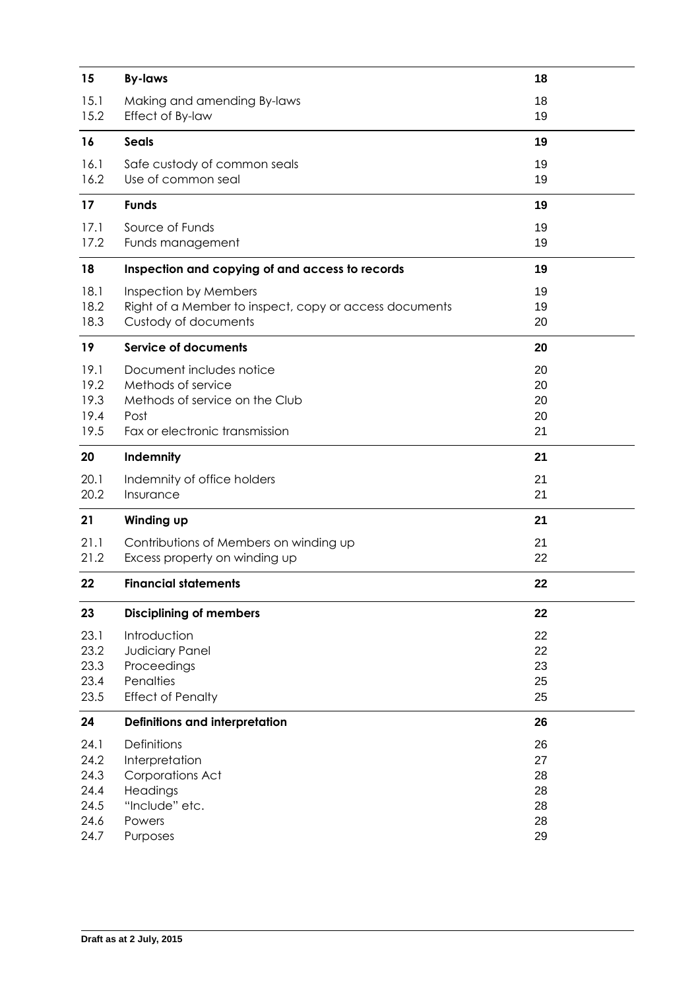| 15.1<br>18<br>Making and amending By-laws<br>15.2<br>Effect of By-law<br>19<br><b>Seals</b><br>16<br>19<br>19<br>16.1<br>Safe custody of common seals<br>16.2<br>Use of common seal<br>19<br><b>Funds</b><br>19<br>17<br>17.1<br>Source of Funds<br>19<br>17.2<br>19<br>Funds management<br>18<br>Inspection and copying of and access to records<br>19<br>18.1<br>Inspection by Members<br>19<br>18.2<br>Right of a Member to inspect, copy or access documents<br>19<br>18.3<br>Custody of documents<br>20<br>19<br><b>Service of documents</b><br>20<br>19.1<br>Document includes notice<br>20<br>19.2<br>Methods of service<br>20<br>19.3<br>Methods of service on the Club<br>20<br>19.4<br>Post<br>20<br>19.5<br>Fax or electronic transmission<br>21<br>20<br>Indemnity<br>21<br>20.1<br>21<br>Indemnity of office holders<br>20.2<br>Insurance<br>21<br>21<br>Winding up<br>21<br>21.1<br>21<br>Contributions of Members on winding up<br>21.2<br>Excess property on winding up<br>22<br>22<br><b>Financial statements</b><br>22<br>23<br><b>Disciplining of members</b><br>22<br>23.1<br>22<br>Introduction<br>23.2<br>Judiciary Panel<br>22<br>23.3<br>Proceedings<br>23<br>Penalties<br>23.4<br>25<br>23.5<br><b>Effect of Penalty</b><br>25<br>Definitions and interpretation<br>26<br>24 | 15 | <b>By-laws</b> | 18 |
|-------------------------------------------------------------------------------------------------------------------------------------------------------------------------------------------------------------------------------------------------------------------------------------------------------------------------------------------------------------------------------------------------------------------------------------------------------------------------------------------------------------------------------------------------------------------------------------------------------------------------------------------------------------------------------------------------------------------------------------------------------------------------------------------------------------------------------------------------------------------------------------------------------------------------------------------------------------------------------------------------------------------------------------------------------------------------------------------------------------------------------------------------------------------------------------------------------------------------------------------------------------------------------------------------------|----|----------------|----|
|                                                                                                                                                                                                                                                                                                                                                                                                                                                                                                                                                                                                                                                                                                                                                                                                                                                                                                                                                                                                                                                                                                                                                                                                                                                                                                       |    |                |    |
|                                                                                                                                                                                                                                                                                                                                                                                                                                                                                                                                                                                                                                                                                                                                                                                                                                                                                                                                                                                                                                                                                                                                                                                                                                                                                                       |    |                |    |
|                                                                                                                                                                                                                                                                                                                                                                                                                                                                                                                                                                                                                                                                                                                                                                                                                                                                                                                                                                                                                                                                                                                                                                                                                                                                                                       |    |                |    |
|                                                                                                                                                                                                                                                                                                                                                                                                                                                                                                                                                                                                                                                                                                                                                                                                                                                                                                                                                                                                                                                                                                                                                                                                                                                                                                       |    |                |    |
|                                                                                                                                                                                                                                                                                                                                                                                                                                                                                                                                                                                                                                                                                                                                                                                                                                                                                                                                                                                                                                                                                                                                                                                                                                                                                                       |    |                |    |
|                                                                                                                                                                                                                                                                                                                                                                                                                                                                                                                                                                                                                                                                                                                                                                                                                                                                                                                                                                                                                                                                                                                                                                                                                                                                                                       |    |                |    |
|                                                                                                                                                                                                                                                                                                                                                                                                                                                                                                                                                                                                                                                                                                                                                                                                                                                                                                                                                                                                                                                                                                                                                                                                                                                                                                       |    |                |    |
|                                                                                                                                                                                                                                                                                                                                                                                                                                                                                                                                                                                                                                                                                                                                                                                                                                                                                                                                                                                                                                                                                                                                                                                                                                                                                                       |    |                |    |
|                                                                                                                                                                                                                                                                                                                                                                                                                                                                                                                                                                                                                                                                                                                                                                                                                                                                                                                                                                                                                                                                                                                                                                                                                                                                                                       |    |                |    |
|                                                                                                                                                                                                                                                                                                                                                                                                                                                                                                                                                                                                                                                                                                                                                                                                                                                                                                                                                                                                                                                                                                                                                                                                                                                                                                       |    |                |    |
|                                                                                                                                                                                                                                                                                                                                                                                                                                                                                                                                                                                                                                                                                                                                                                                                                                                                                                                                                                                                                                                                                                                                                                                                                                                                                                       |    |                |    |
|                                                                                                                                                                                                                                                                                                                                                                                                                                                                                                                                                                                                                                                                                                                                                                                                                                                                                                                                                                                                                                                                                                                                                                                                                                                                                                       |    |                |    |
|                                                                                                                                                                                                                                                                                                                                                                                                                                                                                                                                                                                                                                                                                                                                                                                                                                                                                                                                                                                                                                                                                                                                                                                                                                                                                                       |    |                |    |
|                                                                                                                                                                                                                                                                                                                                                                                                                                                                                                                                                                                                                                                                                                                                                                                                                                                                                                                                                                                                                                                                                                                                                                                                                                                                                                       |    |                |    |
|                                                                                                                                                                                                                                                                                                                                                                                                                                                                                                                                                                                                                                                                                                                                                                                                                                                                                                                                                                                                                                                                                                                                                                                                                                                                                                       |    |                |    |
|                                                                                                                                                                                                                                                                                                                                                                                                                                                                                                                                                                                                                                                                                                                                                                                                                                                                                                                                                                                                                                                                                                                                                                                                                                                                                                       |    |                |    |
|                                                                                                                                                                                                                                                                                                                                                                                                                                                                                                                                                                                                                                                                                                                                                                                                                                                                                                                                                                                                                                                                                                                                                                                                                                                                                                       |    |                |    |
|                                                                                                                                                                                                                                                                                                                                                                                                                                                                                                                                                                                                                                                                                                                                                                                                                                                                                                                                                                                                                                                                                                                                                                                                                                                                                                       |    |                |    |
|                                                                                                                                                                                                                                                                                                                                                                                                                                                                                                                                                                                                                                                                                                                                                                                                                                                                                                                                                                                                                                                                                                                                                                                                                                                                                                       |    |                |    |
|                                                                                                                                                                                                                                                                                                                                                                                                                                                                                                                                                                                                                                                                                                                                                                                                                                                                                                                                                                                                                                                                                                                                                                                                                                                                                                       |    |                |    |
|                                                                                                                                                                                                                                                                                                                                                                                                                                                                                                                                                                                                                                                                                                                                                                                                                                                                                                                                                                                                                                                                                                                                                                                                                                                                                                       |    |                |    |
|                                                                                                                                                                                                                                                                                                                                                                                                                                                                                                                                                                                                                                                                                                                                                                                                                                                                                                                                                                                                                                                                                                                                                                                                                                                                                                       |    |                |    |
|                                                                                                                                                                                                                                                                                                                                                                                                                                                                                                                                                                                                                                                                                                                                                                                                                                                                                                                                                                                                                                                                                                                                                                                                                                                                                                       |    |                |    |
|                                                                                                                                                                                                                                                                                                                                                                                                                                                                                                                                                                                                                                                                                                                                                                                                                                                                                                                                                                                                                                                                                                                                                                                                                                                                                                       |    |                |    |
|                                                                                                                                                                                                                                                                                                                                                                                                                                                                                                                                                                                                                                                                                                                                                                                                                                                                                                                                                                                                                                                                                                                                                                                                                                                                                                       |    |                |    |
|                                                                                                                                                                                                                                                                                                                                                                                                                                                                                                                                                                                                                                                                                                                                                                                                                                                                                                                                                                                                                                                                                                                                                                                                                                                                                                       |    |                |    |
|                                                                                                                                                                                                                                                                                                                                                                                                                                                                                                                                                                                                                                                                                                                                                                                                                                                                                                                                                                                                                                                                                                                                                                                                                                                                                                       |    |                |    |
|                                                                                                                                                                                                                                                                                                                                                                                                                                                                                                                                                                                                                                                                                                                                                                                                                                                                                                                                                                                                                                                                                                                                                                                                                                                                                                       |    |                |    |
|                                                                                                                                                                                                                                                                                                                                                                                                                                                                                                                                                                                                                                                                                                                                                                                                                                                                                                                                                                                                                                                                                                                                                                                                                                                                                                       |    |                |    |
|                                                                                                                                                                                                                                                                                                                                                                                                                                                                                                                                                                                                                                                                                                                                                                                                                                                                                                                                                                                                                                                                                                                                                                                                                                                                                                       |    |                |    |
|                                                                                                                                                                                                                                                                                                                                                                                                                                                                                                                                                                                                                                                                                                                                                                                                                                                                                                                                                                                                                                                                                                                                                                                                                                                                                                       |    |                |    |
|                                                                                                                                                                                                                                                                                                                                                                                                                                                                                                                                                                                                                                                                                                                                                                                                                                                                                                                                                                                                                                                                                                                                                                                                                                                                                                       |    |                |    |
| 24.1<br><b>Definitions</b><br>26                                                                                                                                                                                                                                                                                                                                                                                                                                                                                                                                                                                                                                                                                                                                                                                                                                                                                                                                                                                                                                                                                                                                                                                                                                                                      |    |                |    |
| 24.2<br>Interpretation<br>27                                                                                                                                                                                                                                                                                                                                                                                                                                                                                                                                                                                                                                                                                                                                                                                                                                                                                                                                                                                                                                                                                                                                                                                                                                                                          |    |                |    |
| 24.3<br>Corporations Act<br>28                                                                                                                                                                                                                                                                                                                                                                                                                                                                                                                                                                                                                                                                                                                                                                                                                                                                                                                                                                                                                                                                                                                                                                                                                                                                        |    |                |    |
| 24.4<br>Headings<br>28<br>24.5<br>"Include" etc.<br>28                                                                                                                                                                                                                                                                                                                                                                                                                                                                                                                                                                                                                                                                                                                                                                                                                                                                                                                                                                                                                                                                                                                                                                                                                                                |    |                |    |
| 24.6<br>28<br>Powers                                                                                                                                                                                                                                                                                                                                                                                                                                                                                                                                                                                                                                                                                                                                                                                                                                                                                                                                                                                                                                                                                                                                                                                                                                                                                  |    |                |    |
| 24.7<br>Purposes<br>29                                                                                                                                                                                                                                                                                                                                                                                                                                                                                                                                                                                                                                                                                                                                                                                                                                                                                                                                                                                                                                                                                                                                                                                                                                                                                |    |                |    |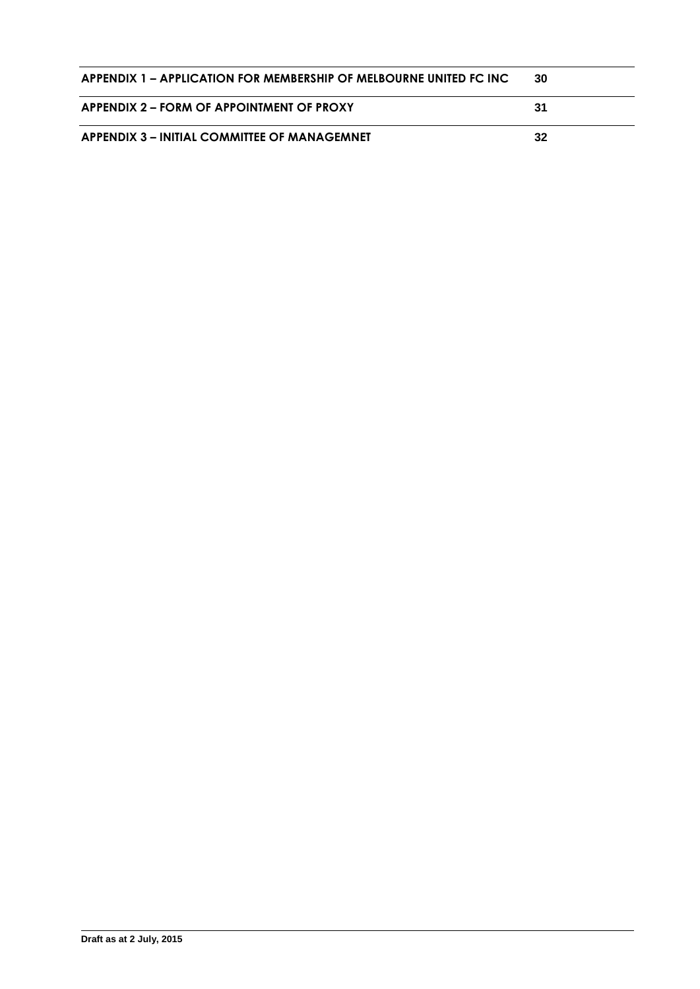| APPENDIX 1 – APPLICATION FOR MEMBERSHIP OF MELBOURNE UNITED FC INC | 30  |
|--------------------------------------------------------------------|-----|
| APPENDIX 2 – FORM OF APPOINTMENT OF PROXY                          | -31 |
| APPENDIX 3 – INITIAL COMMITTEE OF MANAGEMNET                       | 32  |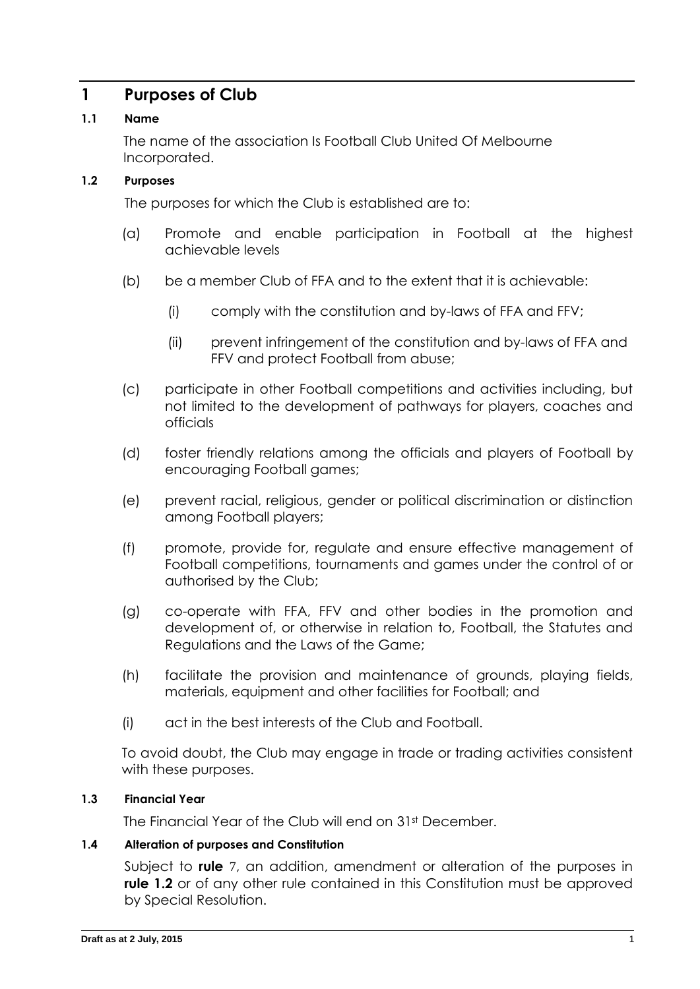# **1 Purposes of Club**

### **1.1 Name**

The name of the association Is Football Club United Of Melbourne Incorporated.

### <span id="page-5-0"></span>**1.2 Purposes**

The purposes for which the Club is established are to:

- (a) Promote and enable participation in Football at the highest achievable levels
- (b) be a member Club of FFA and to the extent that it is achievable:
	- (i) comply with the constitution and by-laws of FFA and FFV;
	- (ii) prevent infringement of the constitution and by-laws of FFA and FFV and protect Football from abuse;
- (c) participate in other Football competitions and activities including, but not limited to the development of pathways for players, coaches and officials
- (d) foster friendly relations among the officials and players of Football by encouraging Football games;
- (e) prevent racial, religious, gender or political discrimination or distinction among Football players;
- (f) promote, provide for, regulate and ensure effective management of Football competitions, tournaments and games under the control of or authorised by the Club;
- (g) co-operate with FFA, FFV and other bodies in the promotion and development of, or otherwise in relation to, Football, the Statutes and Regulations and the Laws of the Game;
- (h) facilitate the provision and maintenance of grounds, playing fields, materials, equipment and other facilities for Football; and
- (i) act in the best interests of the Club and Football.

To avoid doubt, the Club may engage in trade or trading activities consistent with these purposes.

### **1.3 Financial Year**

The Financial Year of the Club will end on 31st December.

### <span id="page-5-1"></span>**1.4 Alteration of purposes and Constitution**

Subject to **rule** [7](#page-14-0), an addition, amendment or alteration of the purposes in **rule [1.2](#page-5-0)** or of any other rule contained in this Constitution must be approved by Special Resolution.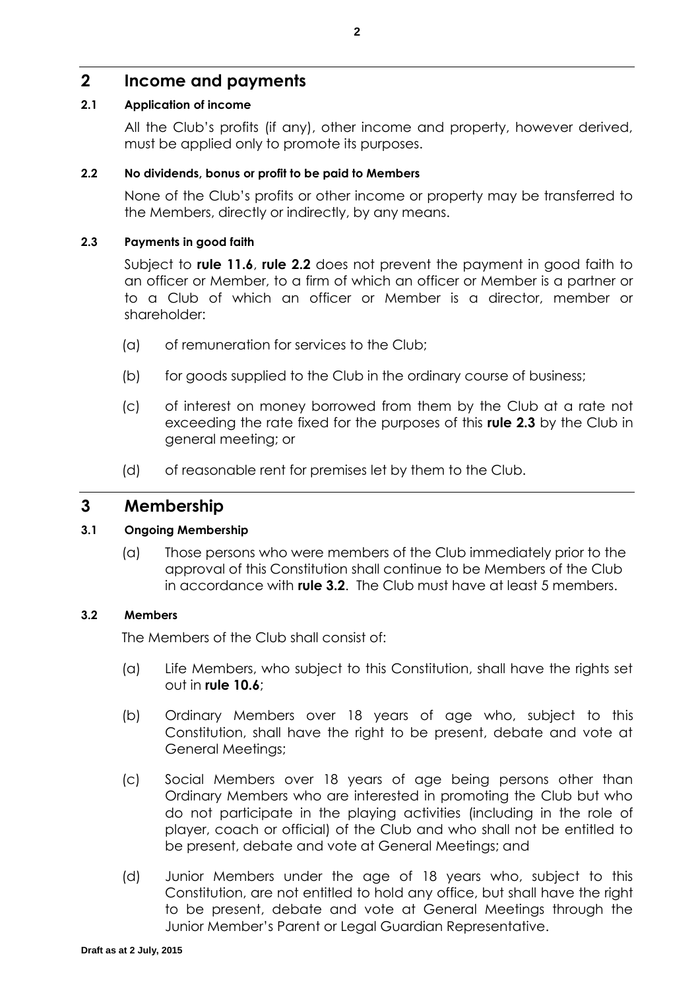# **2 Income and payments**

### <span id="page-6-3"></span>**2.1 Application of income**

All the Club's profits (if any), other income and property, however derived, must be applied only to promote its purposes.

### <span id="page-6-0"></span>**2.2 No dividends, bonus or profit to be paid to Members**

None of the Club's profits or other income or property may be transferred to the Members, directly or indirectly, by any means.

### <span id="page-6-1"></span>**2.3 Payments in good faith**

Subject to **rule [11.6](#page-19-0)**, **rule [2.2](#page-6-0)** does not prevent the payment in good faith to an officer or Member, to a firm of which an officer or Member is a partner or to a Club of which an officer or Member is a director, member or shareholder:

- (a) of remuneration for services to the Club;
- (b) for goods supplied to the Club in the ordinary course of business;
- (c) of interest on money borrowed from them by the Club at a rate not exceeding the rate fixed for the purposes of this **rule [2.3](#page-6-1)** by the Club in general meeting; or
- (d) of reasonable rent for premises let by them to the Club.

### **3 Membership**

### **3.1 Ongoing Membership**

(a) Those persons who were members of the Club immediately prior to the approval of this Constitution shall continue to be Members of the Club in accordance with **rule [3.2](#page-6-2)**. The Club must have at least 5 members.

### <span id="page-6-2"></span>**3.2 Members**

The Members of the Club shall consist of:

- (a) Life Members, who subject to this Constitution, shall have the rights set out in **rule [10.6](#page-17-0)**;
- <span id="page-6-5"></span>(b) Ordinary Members over 18 years of age who, subject to this Constitution, shall have the right to be present, debate and vote at General Meetings;
- <span id="page-6-6"></span>(c) Social Members over 18 years of age being persons other than Ordinary Members who are interested in promoting the Club but who do not participate in the playing activities (including in the role of player, coach or official) of the Club and who shall not be entitled to be present, debate and vote at General Meetings; and
- <span id="page-6-4"></span>(d) Junior Members under the age of 18 years who, subject to this Constitution, are not entitled to hold any office, but shall have the right to be present, debate and vote at General Meetings through the Junior Member's Parent or Legal Guardian Representative.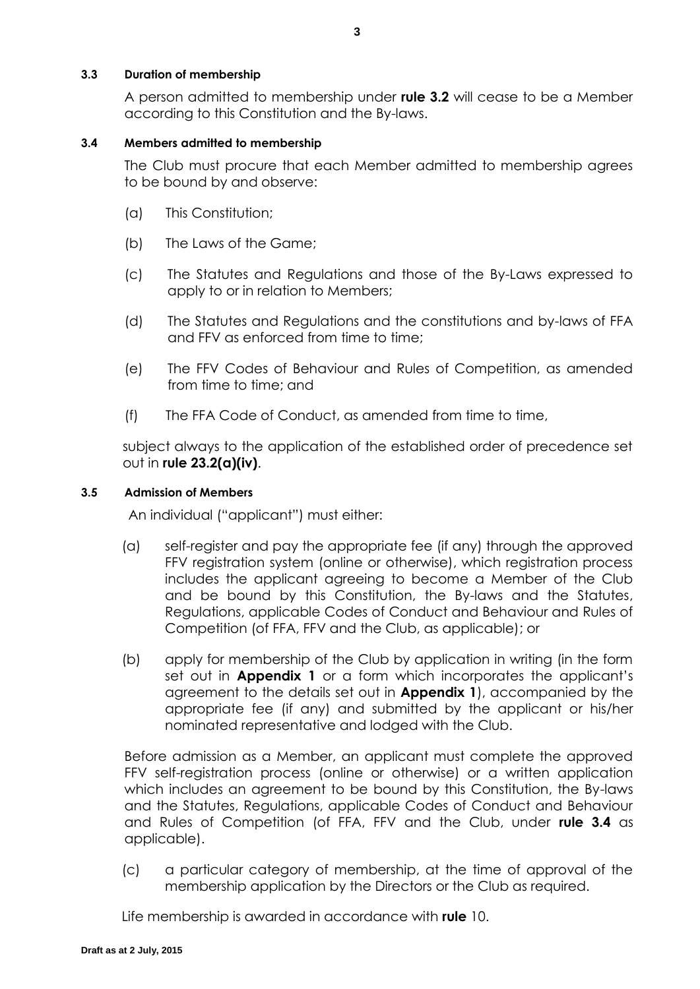### <span id="page-7-1"></span>**3.3 Duration of membership**

A person admitted to membership under **rule [3.2](#page-6-2)** will cease to be a Member according to this Constitution and the By-laws.

### <span id="page-7-0"></span>**3.4 Members admitted to membership**

The Club must procure that each Member admitted to membership agrees to be bound by and observe:

- (a) This Constitution;
- (b) The Laws of the Game;
- (c) The Statutes and Regulations and those of the By-Laws expressed to apply to or in relation to Members;
- (d) The Statutes and Regulations and the constitutions and by-laws of FFA and FFV as enforced from time to time;
- (e) The FFV Codes of Behaviour and Rules of Competition, as amended from time to time; and
- (f) The FFA Code of Conduct, as amended from time to time,

subject always to the application of the established order of precedence set out in **rule 23.2(a)(iv)**.

### **3.5 Admission of Members**

An individual ("applicant") must either:

- (a) self-register and pay the appropriate fee (if any) through the approved FFV registration system (online or otherwise), which registration process includes the applicant agreeing to become a Member of the Club and be bound by this Constitution, the By-laws and the Statutes, Regulations, applicable Codes of Conduct and Behaviour and Rules of Competition (of FFA, FFV and the Club, as applicable); or
- (b) apply for membership of the Club by application in writing (in the form set out in **Appendix 1** or a form which incorporates the applicant's agreement to the details set out in **Appendix 1**), accompanied by the appropriate fee (if any) and submitted by the applicant or his/her nominated representative and lodged with the Club.

Before admission as a Member, an applicant must complete the approved FFV self-registration process (online or otherwise) or a written application which includes an agreement to be bound by this Constitution, the By-laws and the Statutes, Regulations, applicable Codes of Conduct and Behaviour and Rules of Competition (of FFA, FFV and the Club, under **rule [3.4](#page-7-0)** as applicable).

(c) a particular category of membership, at the time of approval of the membership application by the Directors or the Club as required.

Life membership is awarded in accordance with **rule** [10.](#page-16-0)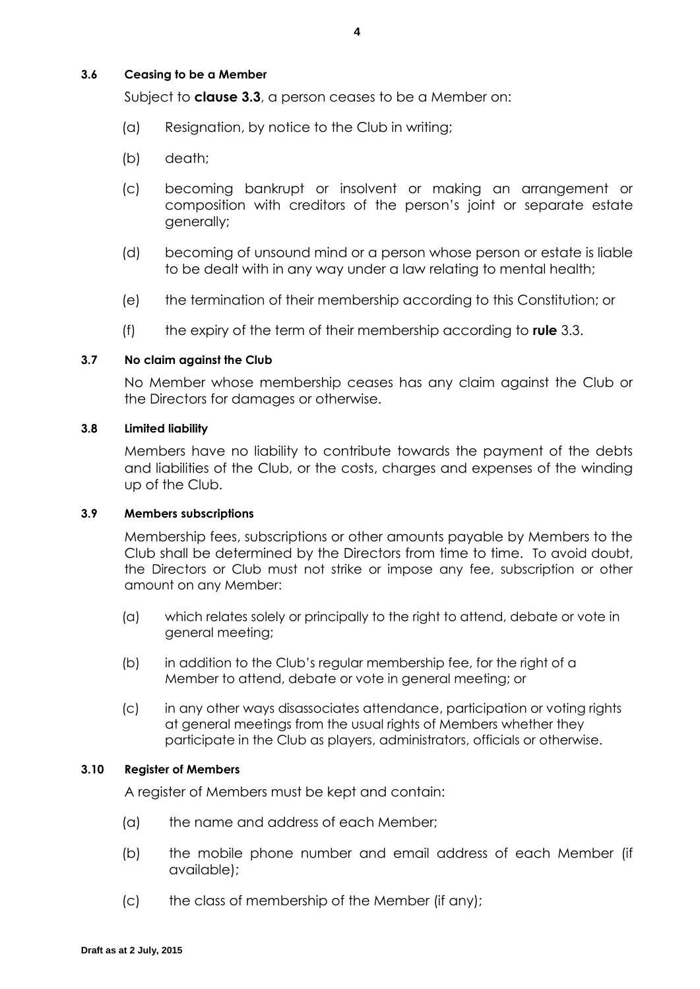### **3.6 Ceasing to be a Member**

Subject to **clause [3.3](#page-7-1)**, a person ceases to be a Member on:

- (a) Resignation, by notice to the Club in writing;
- (b) death;
- (c) becoming bankrupt or insolvent or making an arrangement or composition with creditors of the person's joint or separate estate generally;
- (d) becoming of unsound mind or a person whose person or estate is liable to be dealt with in any way under a law relating to mental health;
- (e) the termination of their membership according to this Constitution; or
- (f) the expiry of the term of their membership according to **rule** [3.3.](#page-7-1)

### **3.7 No claim against the Club**

No Member whose membership ceases has any claim against the Club or the Directors for damages or otherwise.

### **3.8 Limited liability**

Members have no liability to contribute towards the payment of the debts and liabilities of the Club, or the costs, charges and expenses of the winding up of the Club.

#### **3.9 Members subscriptions**

Membership fees, subscriptions or other amounts payable by Members to the Club shall be determined by the Directors from time to time. To avoid doubt, the Directors or Club must not strike or impose any fee, subscription or other amount on any Member:

- (a) which relates solely or principally to the right to attend, debate or vote in general meeting;
- (b) in addition to the Club's regular membership fee, for the right of a Member to attend, debate or vote in general meeting; or
- (c) in any other ways disassociates attendance, participation or voting rights at general meetings from the usual rights of Members whether they participate in the Club as players, administrators, officials or otherwise.

### **3.10 Register of Members**

A register of Members must be kept and contain:

- (a) the name and address of each Member;
- (b) the mobile phone number and email address of each Member (if available);
- (c) the class of membership of the Member (if any);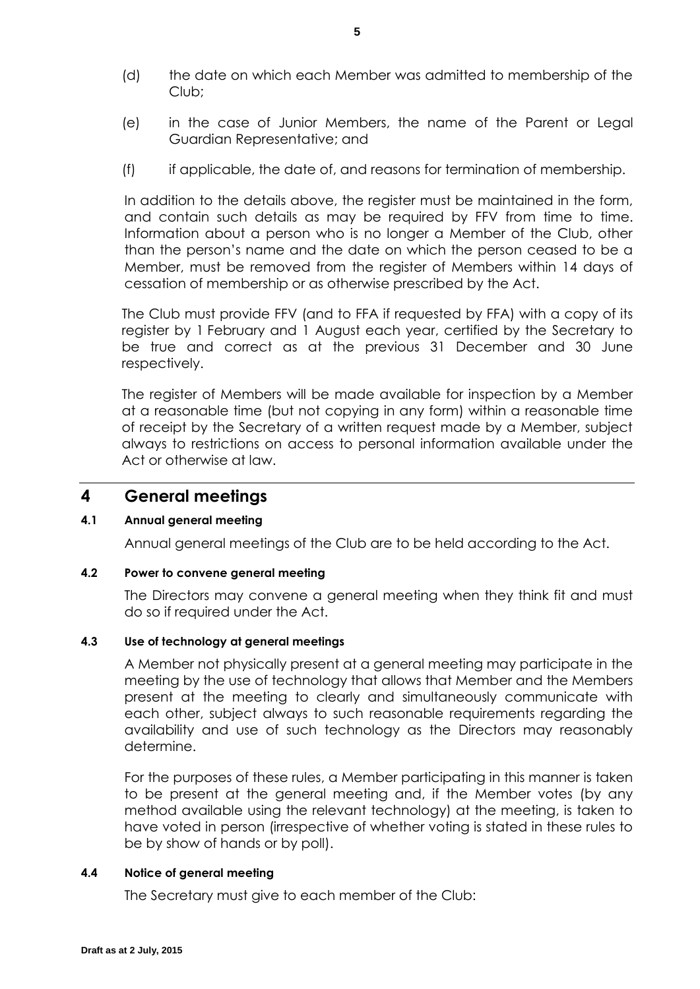- (d) the date on which each Member was admitted to membership of the Club;
- (e) in the case of Junior Members, the name of the Parent or Legal Guardian Representative; and
- (f) if applicable, the date of, and reasons for termination of membership.

In addition to the details above, the register must be maintained in the form, and contain such details as may be required by FFV from time to time. Information about a person who is no longer a Member of the Club, other than the person's name and the date on which the person ceased to be a Member, must be removed from the register of Members within 14 days of cessation of membership or as otherwise prescribed by the Act.

The Club must provide FFV (and to FFA if requested by FFA) with a copy of its register by 1 February and 1 August each year, certified by the Secretary to be true and correct as at the previous 31 December and 30 June respectively.

The register of Members will be made available for inspection by a Member at a reasonable time (but not copying in any form) within a reasonable time of receipt by the Secretary of a written request made by a Member, subject always to restrictions on access to personal information available under the Act or otherwise at law.

### **4 General meetings**

### **4.1 Annual general meeting**

Annual general meetings of the Club are to be held according to the Act.

### **4.2 Power to convene general meeting**

The Directors may convene a general meeting when they think fit and must do so if required under the Act.

### **4.3 Use of technology at general meetings**

A Member not physically present at a general meeting may participate in the meeting by the use of technology that allows that Member and the Members present at the meeting to clearly and simultaneously communicate with each other, subject always to such reasonable requirements regarding the availability and use of such technology as the Directors may reasonably determine.

For the purposes of these rules, a Member participating in this manner is taken to be present at the general meeting and, if the Member votes (by any method available using the relevant technology) at the meeting, is taken to have voted in person (irrespective of whether voting is stated in these rules to be by show of hands or by poll).

### **4.4 Notice of general meeting**

The Secretary must give to each member of the Club: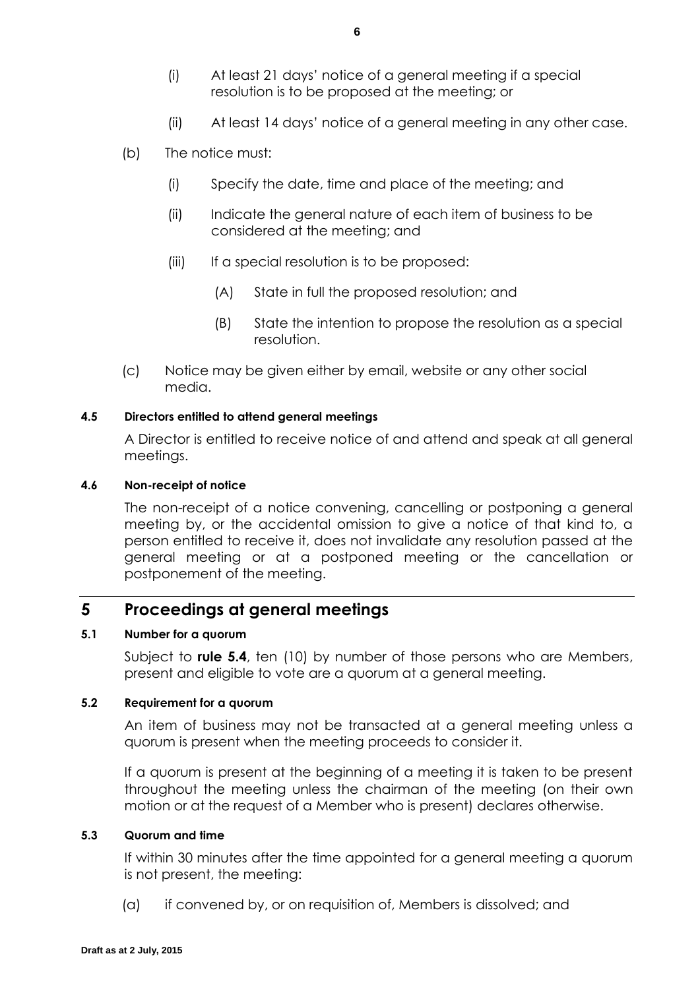- (i) At least 21 days' notice of a general meeting if a special resolution is to be proposed at the meeting; or
- (ii) At least 14 days' notice of a general meeting in any other case.
- (b) The notice must:
	- (i) Specify the date, time and place of the meeting; and
	- (ii) Indicate the general nature of each item of business to be considered at the meeting; and
	- (iii) If a special resolution is to be proposed:
		- (A) State in full the proposed resolution; and
		- (B) State the intention to propose the resolution as a special resolution.
- (c) Notice may be given either by email, website or any other social media.

### **4.5 Directors entitled to attend general meetings**

A Director is entitled to receive notice of and attend and speak at all general meetings.

### **4.6 Non-receipt of notice**

The non-receipt of a notice convening, cancelling or postponing a general meeting by, or the accidental omission to give a notice of that kind to, a person entitled to receive it, does not invalidate any resolution passed at the general meeting or at a postponed meeting or the cancellation or postponement of the meeting.

# **5 Proceedings at general meetings**

### <span id="page-10-0"></span>**5.1 Number for a quorum**

Subject to **rule [5.4](#page-11-0)**, ten (10) by number of those persons who are Members, present and eligible to vote are a quorum at a general meeting.

### **5.2 Requirement for a quorum**

An item of business may not be transacted at a general meeting unless a quorum is present when the meeting proceeds to consider it.

If a quorum is present at the beginning of a meeting it is taken to be present throughout the meeting unless the chairman of the meeting (on their own motion or at the request of a Member who is present) declares otherwise.

### **5.3 Quorum and time**

If within 30 minutes after the time appointed for a general meeting a quorum is not present, the meeting:

(a) if convened by, or on requisition of, Members is dissolved; and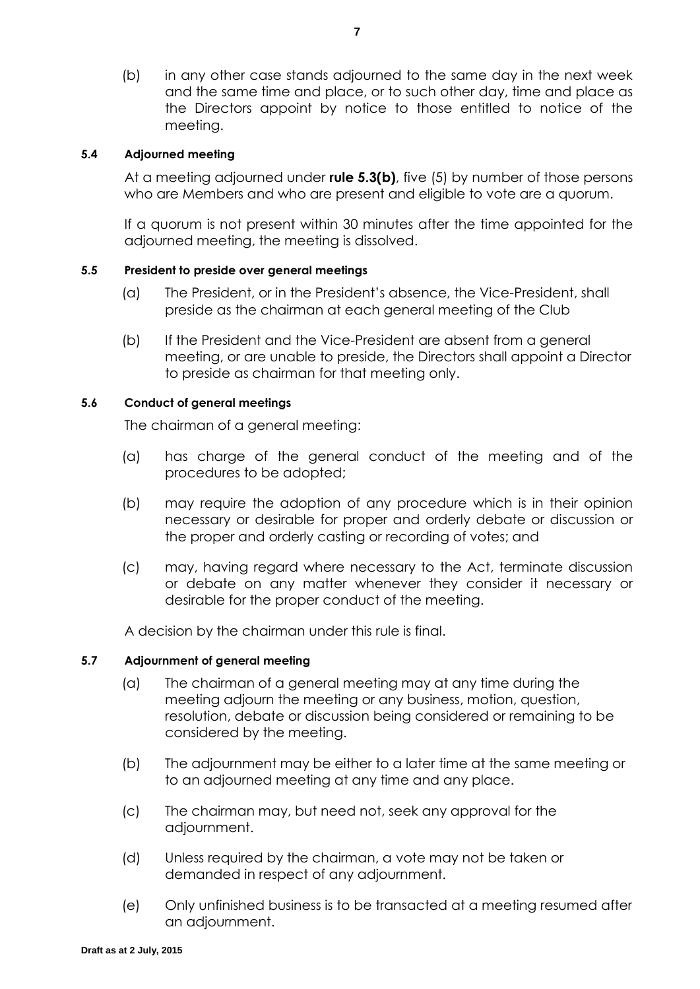<span id="page-11-1"></span>(b) in any other case stands adjourned to the same day in the next week and the same time and place, or to such other day, time and place as the Directors appoint by notice to those entitled to notice of the meeting.

### <span id="page-11-0"></span>**5.4 Adjourned meeting**

At a meeting adjourned under **rule [5.3\(b\)](#page-11-1)**, five (5) by number of those persons who are Members and who are present and eligible to vote are a quorum.

If a quorum is not present within 30 minutes after the time appointed for the adjourned meeting, the meeting is dissolved.

### **5.5 President to preside over general meetings**

- (a) The President, or in the President's absence, the Vice-President, shall preside as the chairman at each general meeting of the Club
- (b) If the President and the Vice-President are absent from a general meeting, or are unable to preside, the Directors shall appoint a Director to preside as chairman for that meeting only.

### **5.6 Conduct of general meetings**

The chairman of a general meeting:

- (a) has charge of the general conduct of the meeting and of the procedures to be adopted;
- (b) may require the adoption of any procedure which is in their opinion necessary or desirable for proper and orderly debate or discussion or the proper and orderly casting or recording of votes; and
- (c) may, having regard where necessary to the Act, terminate discussion or debate on any matter whenever they consider it necessary or desirable for the proper conduct of the meeting.

A decision by the chairman under this rule is final.

### **5.7 Adjournment of general meeting**

- (a) The chairman of a general meeting may at any time during the meeting adjourn the meeting or any business, motion, question, resolution, debate or discussion being considered or remaining to be considered by the meeting.
- (b) The adjournment may be either to a later time at the same meeting or to an adjourned meeting at any time and any place.
- (c) The chairman may, but need not, seek any approval for the adjournment.
- (d) Unless required by the chairman, a vote may not be taken or demanded in respect of any adjournment.
- (e) Only unfinished business is to be transacted at a meeting resumed after an adjournment.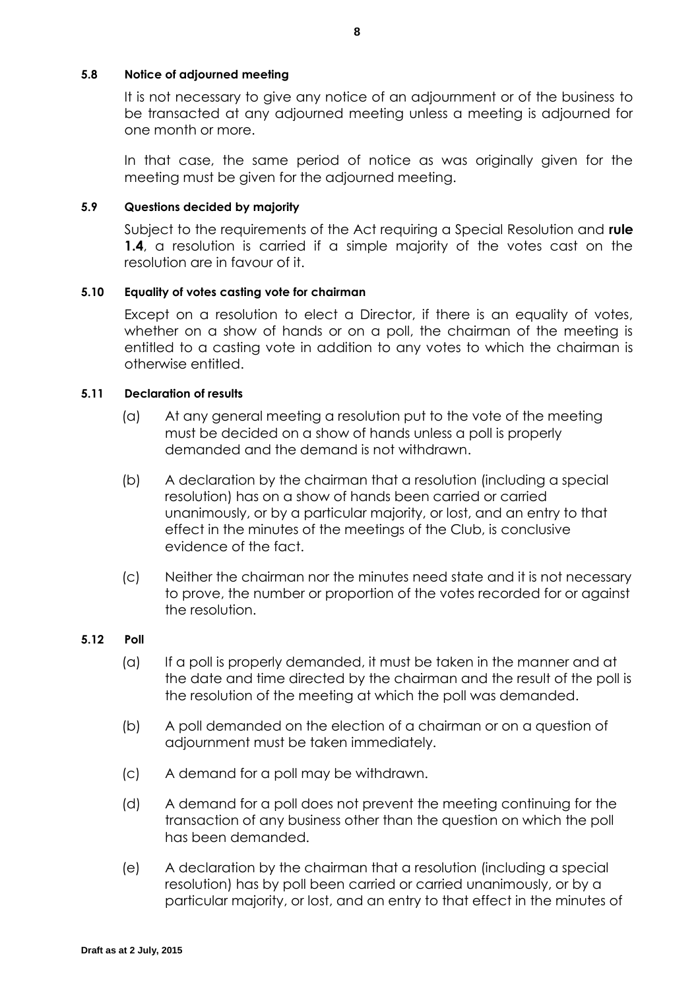### **5.8 Notice of adjourned meeting**

It is not necessary to give any notice of an adjournment or of the business to be transacted at any adjourned meeting unless a meeting is adjourned for one month or more.

In that case, the same period of notice as was originally given for the meeting must be given for the adjourned meeting.

### **5.9 Questions decided by majority**

Subject to the requirements of the Act requiring a Special Resolution and **rule [1.4](#page-5-1)**, a resolution is carried if a simple majority of the votes cast on the resolution are in favour of it.

### **5.10 Equality of votes casting vote for chairman**

Except on a resolution to elect a Director, if there is an equality of votes, whether on a show of hands or on a poll, the chairman of the meeting is entitled to a casting vote in addition to any votes to which the chairman is otherwise entitled.

### **5.11 Declaration of results**

- (a) At any general meeting a resolution put to the vote of the meeting must be decided on a show of hands unless a poll is properly demanded and the demand is not withdrawn.
- (b) A declaration by the chairman that a resolution (including a special resolution) has on a show of hands been carried or carried unanimously, or by a particular majority, or lost, and an entry to that effect in the minutes of the meetings of the Club, is conclusive evidence of the fact.
- (c) Neither the chairman nor the minutes need state and it is not necessary to prove, the number or proportion of the votes recorded for or against the resolution.

#### **5.12 Poll**

- (a) If a poll is properly demanded, it must be taken in the manner and at the date and time directed by the chairman and the result of the poll is the resolution of the meeting at which the poll was demanded.
- (b) A poll demanded on the election of a chairman or on a question of adjournment must be taken immediately.
- (c) A demand for a poll may be withdrawn.
- (d) A demand for a poll does not prevent the meeting continuing for the transaction of any business other than the question on which the poll has been demanded.
- (e) A declaration by the chairman that a resolution (including a special resolution) has by poll been carried or carried unanimously, or by a particular majority, or lost, and an entry to that effect in the minutes of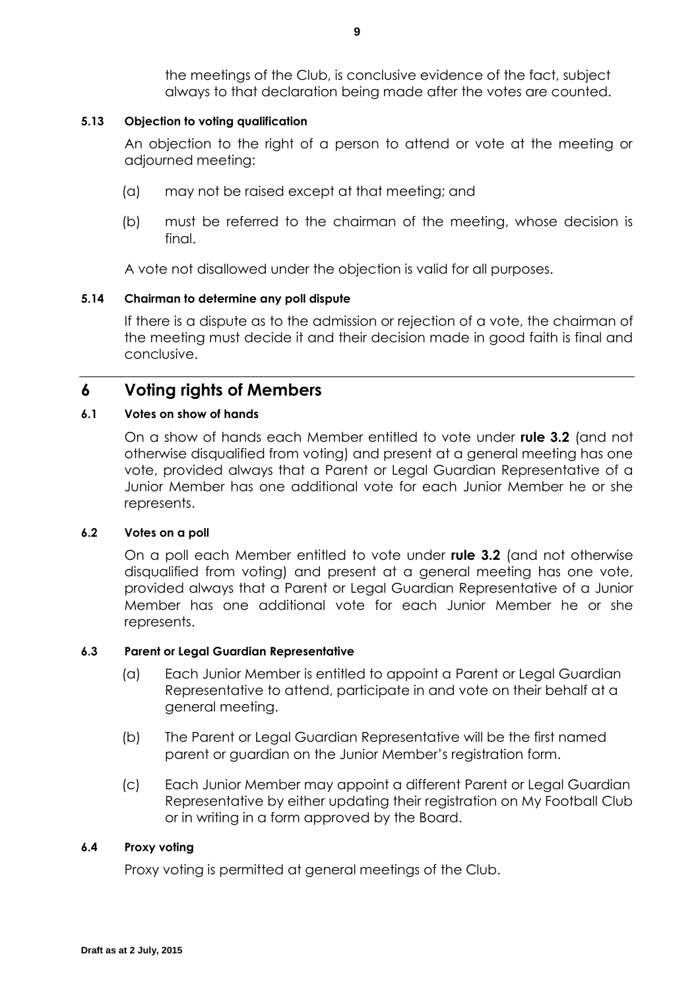the meetings of the Club, is conclusive evidence of the fact, subject always to that declaration being made after the votes are counted.

### **5.13 Objection to voting qualification**

An objection to the right of a person to attend or vote at the meeting or adjourned meeting:

- (a) may not be raised except at that meeting; and
- (b) must be referred to the chairman of the meeting, whose decision is final.

A vote not disallowed under the objection is valid for all purposes.

### **5.14 Chairman to determine any poll dispute**

If there is a dispute as to the admission or rejection of a vote, the chairman of the meeting must decide it and their decision made in good faith is final and conclusive.

# **6 Voting rights of Members**

### **6.1 Votes on show of hands**

On a show of hands each Member entitled to vote under **rule 3.2** (and not otherwise disqualified from voting) and present at a general meeting has one vote, provided always that a Parent or Legal Guardian Representative of a Junior Member has one additional vote for each Junior Member he or she represents.

### **6.2 Votes on a poll**

On a poll each Member entitled to vote under **rule [3.2](#page-6-2)** (and not otherwise disqualified from voting) and present at a general meeting has one vote, provided always that a Parent or Legal Guardian Representative of a Junior Member has one additional vote for each Junior Member he or she represents.

#### **6.3 Parent or Legal Guardian Representative**

- (a) Each Junior Member is entitled to appoint a Parent or Legal Guardian Representative to attend, participate in and vote on their behalf at a general meeting.
- (b) The Parent or Legal Guardian Representative will be the first named parent or guardian on the Junior Member's registration form.
- (c) Each Junior Member may appoint a different Parent or Legal Guardian Representative by either updating their registration on My Football Club or in writing in a form approved by the Board.

#### **6.4 Proxy voting**

Proxy voting is permitted at general meetings of the Club.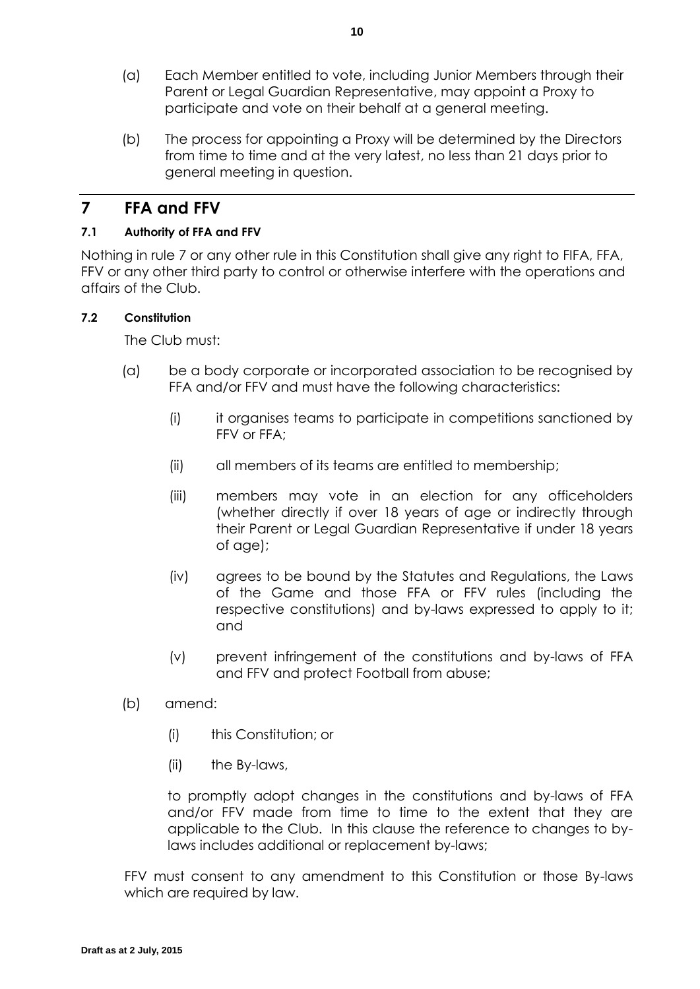- (a) Each Member entitled to vote, including Junior Members through their Parent or Legal Guardian Representative, may appoint a Proxy to participate and vote on their behalf at a general meeting.
- (b) The process for appointing a Proxy will be determined by the Directors from time to time and at the very latest, no less than 21 days prior to general meeting in question.

# <span id="page-14-0"></span>**7 FFA and FFV**

### **7.1 Authority of FFA and FFV**

Nothing in rule 7 or any other rule in this Constitution shall give any right to FIFA, FFA, FFV or any other third party to control or otherwise interfere with the operations and affairs of the Club.

### **7.2 Constitution**

The Club must:

- (a) be a body corporate or incorporated association to be recognised by FFA and/or FFV and must have the following characteristics:
	- (i) it organises teams to participate in competitions sanctioned by FFV or FFA;
	- (ii) all members of its teams are entitled to membership;
	- (iii) members may vote in an election for any officeholders (whether directly if over 18 years of age or indirectly through their Parent or Legal Guardian Representative if under 18 years of age);
	- (iv) agrees to be bound by the Statutes and Regulations, the Laws of the Game and those FFA or FFV rules (including the respective constitutions) and by-laws expressed to apply to it; and
	- (v) prevent infringement of the constitutions and by-laws of FFA and FFV and protect Football from abuse;
- (b) amend:
	- (i) this Constitution; or
	- (ii) the By-laws,

to promptly adopt changes in the constitutions and by-laws of FFA and/or FFV made from time to time to the extent that they are applicable to the Club. In this clause the reference to changes to bylaws includes additional or replacement by-laws;

FFV must consent to any amendment to this Constitution or those By-laws which are required by law.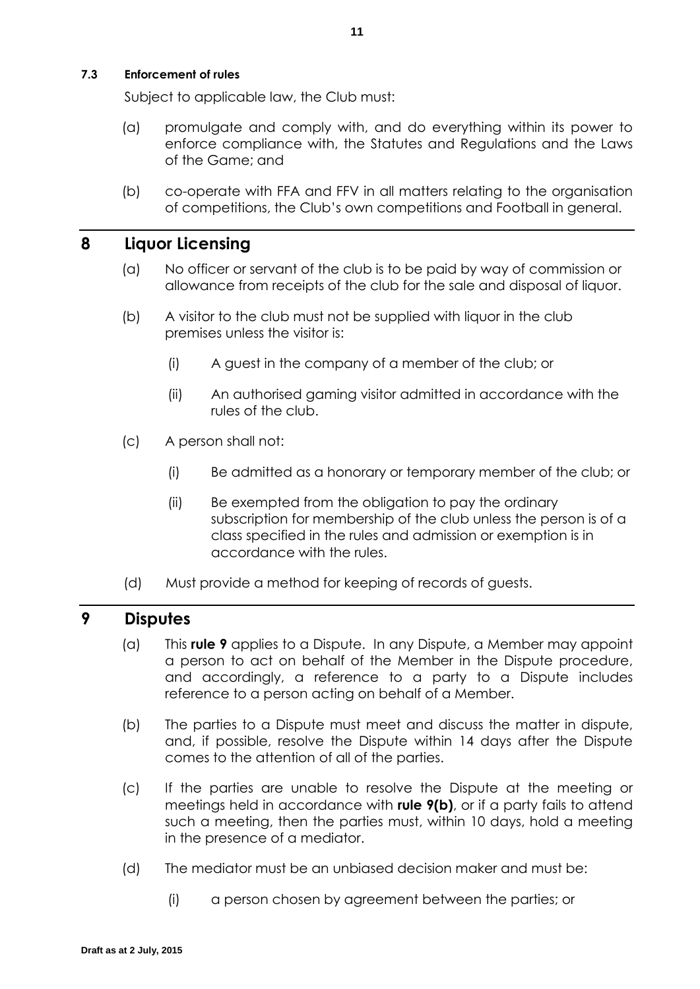**7.3 Enforcement of rules**

Subject to applicable law, the Club must:

- (a) promulgate and comply with, and do everything within its power to enforce compliance with, the Statutes and Regulations and the Laws of the Game; and
- (b) co-operate with FFA and FFV in all matters relating to the organisation of competitions, the Club's own competitions and Football in general.

# **8 Liquor Licensing**

- (a) No officer or servant of the club is to be paid by way of commission or allowance from receipts of the club for the sale and disposal of liquor.
- (b) A visitor to the club must not be supplied with liquor in the club premises unless the visitor is:
	- (i) A guest in the company of a member of the club; or
	- (ii) An authorised gaming visitor admitted in accordance with the rules of the club.
- (c) A person shall not:
	- (i) Be admitted as a honorary or temporary member of the club; or
	- (ii) Be exempted from the obligation to pay the ordinary subscription for membership of the club unless the person is of a class specified in the rules and admission or exemption is in accordance with the rules.
- (d) Must provide a method for keeping of records of guests.

### <span id="page-15-0"></span>**9 Disputes**

- (a) This **rule [9](#page-15-0)** applies to a Dispute. In any Dispute, a Member may appoint a person to act on behalf of the Member in the Dispute procedure, and accordingly, a reference to a party to a Dispute includes reference to a person acting on behalf of a Member.
- <span id="page-15-1"></span>(b) The parties to a Dispute must meet and discuss the matter in dispute, and, if possible, resolve the Dispute within 14 days after the Dispute comes to the attention of all of the parties.
- (c) If the parties are unable to resolve the Dispute at the meeting or meetings held in accordance with **rule [9\(b\)](#page-15-1)**, or if a party fails to attend such a meeting, then the parties must, within 10 days, hold a meeting in the presence of a mediator.
- (d) The mediator must be an unbiased decision maker and must be:
	- (i) a person chosen by agreement between the parties; or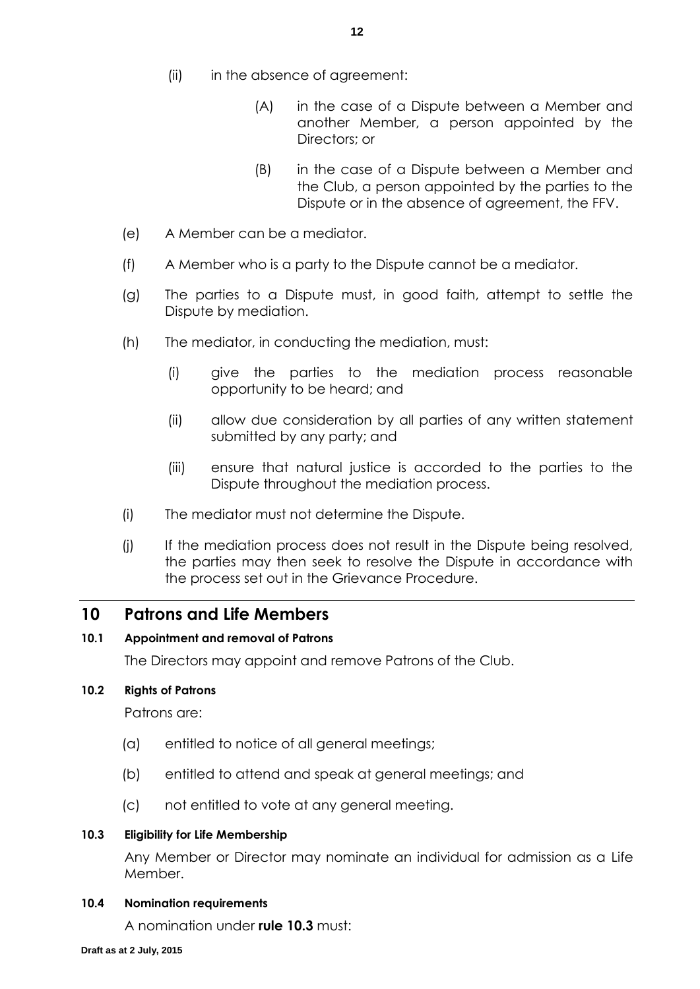- (ii) in the absence of agreement:
	- (A) in the case of a Dispute between a Member and another Member, a person appointed by the Directors; or
	- (B) in the case of a Dispute between a Member and the Club, a person appointed by the parties to the Dispute or in the absence of agreement, the FFV.
- (e) A Member can be a mediator.
- (f) A Member who is a party to the Dispute cannot be a mediator.
- (g) The parties to a Dispute must, in good faith, attempt to settle the Dispute by mediation.
- (h) The mediator, in conducting the mediation, must:
	- (i) give the parties to the mediation process reasonable opportunity to be heard; and
	- (ii) allow due consideration by all parties of any written statement submitted by any party; and
	- (iii) ensure that natural justice is accorded to the parties to the Dispute throughout the mediation process.
- (i) The mediator must not determine the Dispute.
- (j) If the mediation process does not result in the Dispute being resolved, the parties may then seek to resolve the Dispute in accordance with the process set out in the Grievance Procedure.

### <span id="page-16-0"></span>**10 Patrons and Life Members**

### **10.1 Appointment and removal of Patrons**

The Directors may appoint and remove Patrons of the Club.

### **10.2 Rights of Patrons**

Patrons are:

- (a) entitled to notice of all general meetings;
- (b) entitled to attend and speak at general meetings; and
- (c) not entitled to vote at any general meeting.

### <span id="page-16-1"></span>**10.3 Eligibility for Life Membership**

Any Member or Director may nominate an individual for admission as a Life Member.

#### **10.4 Nomination requirements**

A nomination under **rule [10.3](#page-16-1)** must: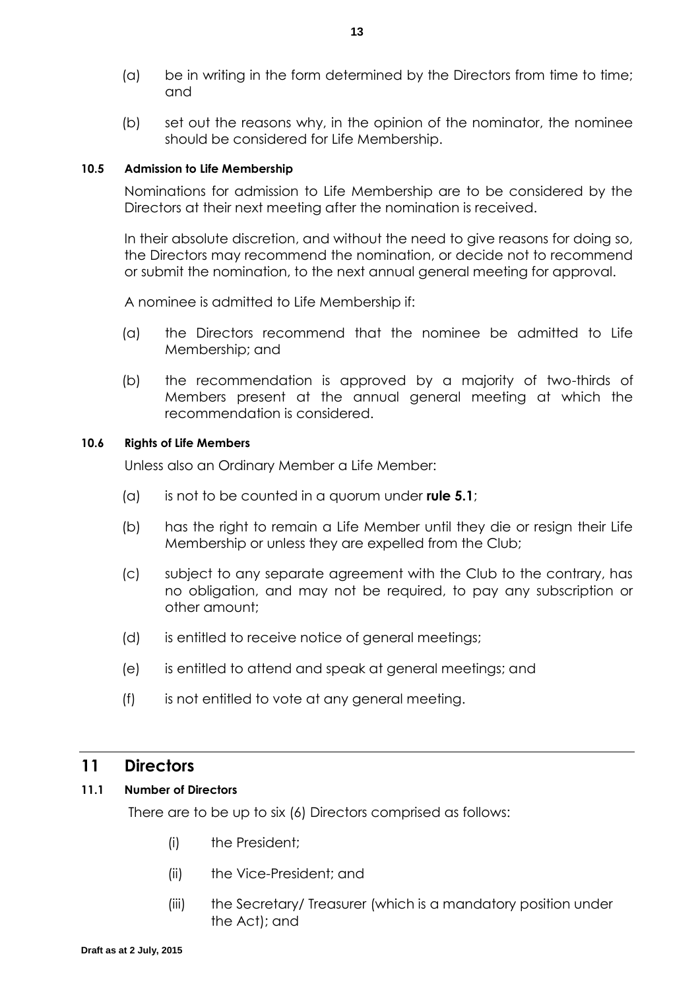- (a) be in writing in the form determined by the Directors from time to time; and
- (b) set out the reasons why, in the opinion of the nominator, the nominee should be considered for Life Membership.

### **10.5 Admission to Life Membership**

Nominations for admission to Life Membership are to be considered by the Directors at their next meeting after the nomination is received.

In their absolute discretion, and without the need to give reasons for doing so, the Directors may recommend the nomination, or decide not to recommend or submit the nomination, to the next annual general meeting for approval.

A nominee is admitted to Life Membership if:

- (a) the Directors recommend that the nominee be admitted to Life Membership; and
- (b) the recommendation is approved by a majority of two-thirds of Members present at the annual general meeting at which the recommendation is considered.

### <span id="page-17-0"></span>**10.6 Rights of Life Members**

Unless also an Ordinary Member a Life Member:

- (a) is not to be counted in a quorum under **rule [5.1](#page-10-0)**;
- (b) has the right to remain a Life Member until they die or resign their Life Membership or unless they are expelled from the Club;
- (c) subject to any separate agreement with the Club to the contrary, has no obligation, and may not be required, to pay any subscription or other amount;
- (d) is entitled to receive notice of general meetings;
- (e) is entitled to attend and speak at general meetings; and
- (f) is not entitled to vote at any general meeting.

### **11 Directors**

### **11.1 Number of Directors**

There are to be up to six (6) Directors comprised as follows:

- (i) the President;
- (ii) the Vice-President; and
- (iii) the Secretary/ Treasurer (which is a mandatory position under the Act); and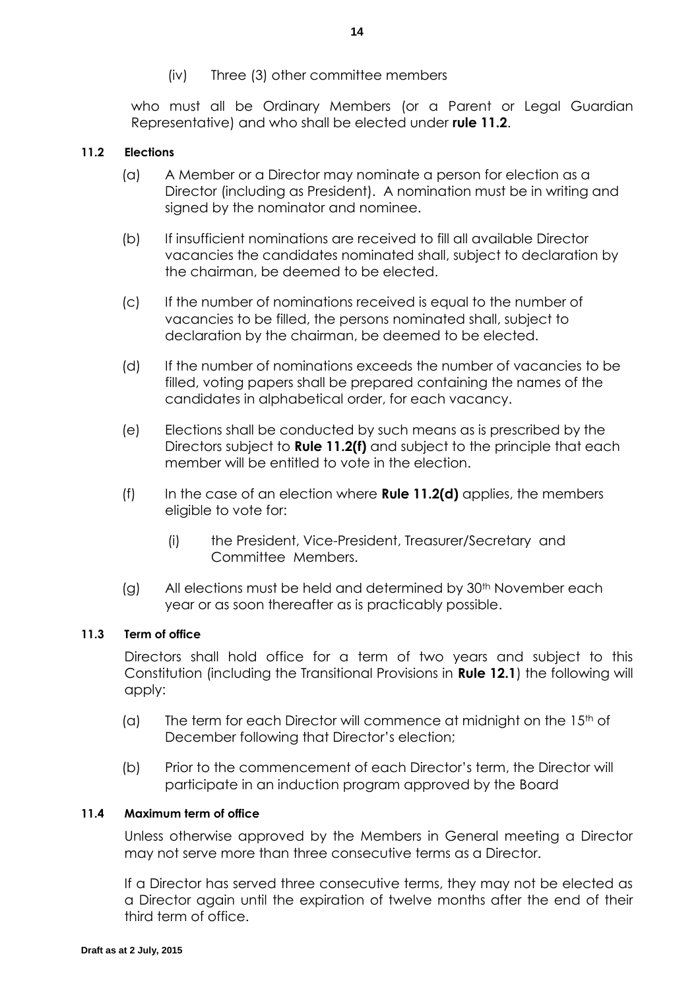(iv) Three (3) other committee members

who must all be Ordinary Members (or a Parent or Legal Guardian Representative) and who shall be elected under **rule [11.2](#page-18-0)**.

### <span id="page-18-0"></span>**11.2 Elections**

- (a) A Member or a Director may nominate a person for election as a Director (including as President). A nomination must be in writing and signed by the nominator and nominee.
- (b) If insufficient nominations are received to fill all available Director vacancies the candidates nominated shall, subject to declaration by the chairman, be deemed to be elected.
- (c) If the number of nominations received is equal to the number of vacancies to be filled, the persons nominated shall, subject to declaration by the chairman, be deemed to be elected.
- <span id="page-18-2"></span>(d) If the number of nominations exceeds the number of vacancies to be filled, voting papers shall be prepared containing the names of the candidates in alphabetical order, for each vacancy.
- (e) Elections shall be conducted by such means as is prescribed by the Directors subject to **Rule [11.2\(f\)](#page-18-1)** and subject to the principle that each member will be entitled to vote in the election.
- <span id="page-18-1"></span>(f) In the case of an election where **Rule [11.2\(d\)](#page-18-2)** applies, the members eligible to vote for:
	- (i) the President, Vice-President, Treasurer/Secretary and Committee Members.
- (g) All elections must be held and determined by 30<sup>th</sup> November each year or as soon thereafter as is practicably possible.

### <span id="page-18-3"></span>**11.3 Term of office**

Directors shall hold office for a term of two years and subject to this Constitution (including the Transitional Provisions in **Rule [12.1](#page-20-0)**) the following will apply:

- (a) The term for each Director will commence at midnight on the  $15<sup>th</sup>$  of December following that Director's election;
- (b) Prior to the commencement of each Director's term, the Director will participate in an induction program approved by the Board

### **11.4 Maximum term of office**

Unless otherwise approved by the Members in General meeting a Director may not serve more than three consecutive terms as a Director.

If a Director has served three consecutive terms, they may not be elected as a Director again until the expiration of twelve months after the end of their third term of office.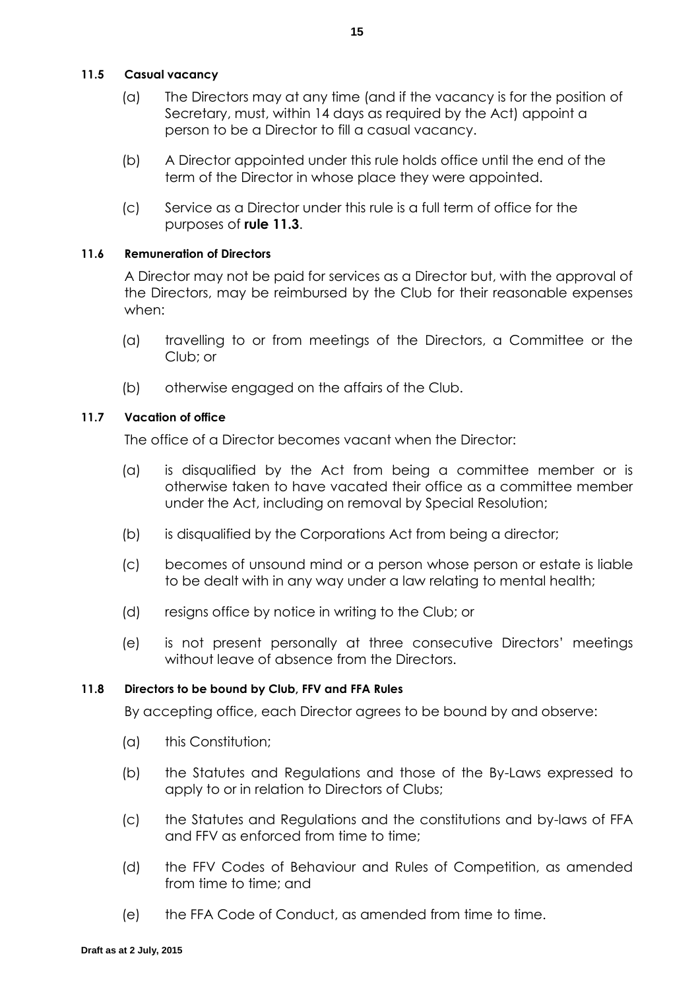### **11.5 Casual vacancy**

- (a) The Directors may at any time (and if the vacancy is for the position of Secretary, must, within 14 days as required by the Act) appoint a person to be a Director to fill a casual vacancy.
- (b) A Director appointed under this rule holds office until the end of the term of the Director in whose place they were appointed.
- (c) Service as a Director under this rule is a full term of office for the purposes of **rule [11.3](#page-18-3)**.

### <span id="page-19-0"></span>**11.6 Remuneration of Directors**

A Director may not be paid for services as a Director but, with the approval of the Directors, may be reimbursed by the Club for their reasonable expenses when:

- (a) travelling to or from meetings of the Directors, a Committee or the Club; or
- (b) otherwise engaged on the affairs of the Club.

### <span id="page-19-1"></span>**11.7 Vacation of office**

The office of a Director becomes vacant when the Director:

- (a) is disqualified by the Act from being a committee member or is otherwise taken to have vacated their office as a committee member under the Act, including on removal by Special Resolution;
- (b) is disqualified by the Corporations Act from being a director;
- (c) becomes of unsound mind or a person whose person or estate is liable to be dealt with in any way under a law relating to mental health;
- (d) resigns office by notice in writing to the Club; or
- (e) is not present personally at three consecutive Directors' meetings without leave of absence from the Directors.

### **11.8 Directors to be bound by Club, FFV and FFA Rules**

By accepting office, each Director agrees to be bound by and observe:

- (a) this Constitution;
- (b) the Statutes and Regulations and those of the By-Laws expressed to apply to or in relation to Directors of Clubs;
- (c) the Statutes and Regulations and the constitutions and by-laws of FFA and FFV as enforced from time to time;
- (d) the FFV Codes of Behaviour and Rules of Competition, as amended from time to time; and
- (e) the FFA Code of Conduct, as amended from time to time.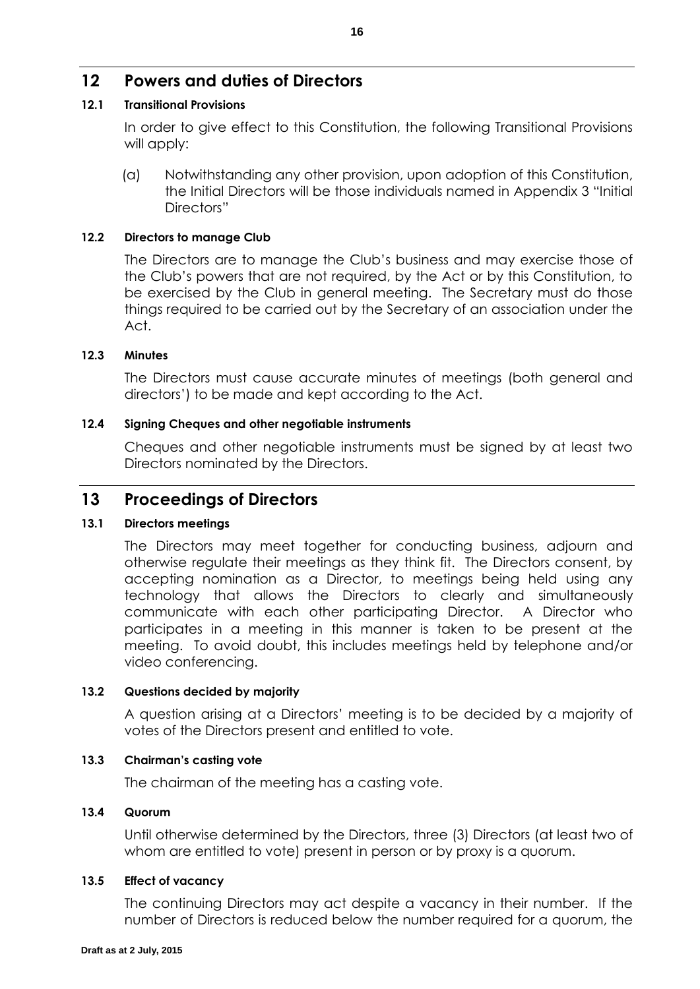# **12 Powers and duties of Directors**

### <span id="page-20-0"></span>**12.1 Transitional Provisions**

In order to give effect to this Constitution, the following Transitional Provisions will apply:

(a) Notwithstanding any other provision, upon adoption of this Constitution, the Initial Directors will be those individuals named in Appendix 3 "Initial Directors"

### **12.2 Directors to manage Club**

The Directors are to manage the Club's business and may exercise those of the Club's powers that are not required, by the Act or by this Constitution, to be exercised by the Club in general meeting. The Secretary must do those things required to be carried out by the Secretary of an association under the Act.

### **12.3 Minutes**

The Directors must cause accurate minutes of meetings (both general and directors') to be made and kept according to the Act.

### **12.4 Signing Cheques and other negotiable instruments**

Cheques and other negotiable instruments must be signed by at least two Directors nominated by the Directors.

### **13 Proceedings of Directors**

### **13.1 Directors meetings**

The Directors may meet together for conducting business, adjourn and otherwise regulate their meetings as they think fit. The Directors consent, by accepting nomination as a Director, to meetings being held using any technology that allows the Directors to clearly and simultaneously communicate with each other participating Director. A Director who participates in a meeting in this manner is taken to be present at the meeting. To avoid doubt, this includes meetings held by telephone and/or video conferencing.

### **13.2 Questions decided by majority**

A question arising at a Directors' meeting is to be decided by a majority of votes of the Directors present and entitled to vote.

#### **13.3 Chairman's casting vote**

The chairman of the meeting has a casting vote.

#### **13.4 Quorum**

Until otherwise determined by the Directors, three (3) Directors (at least two of whom are entitled to vote) present in person or by proxy is a quorum.

#### **13.5 Effect of vacancy**

The continuing Directors may act despite a vacancy in their number. If the number of Directors is reduced below the number required for a quorum, the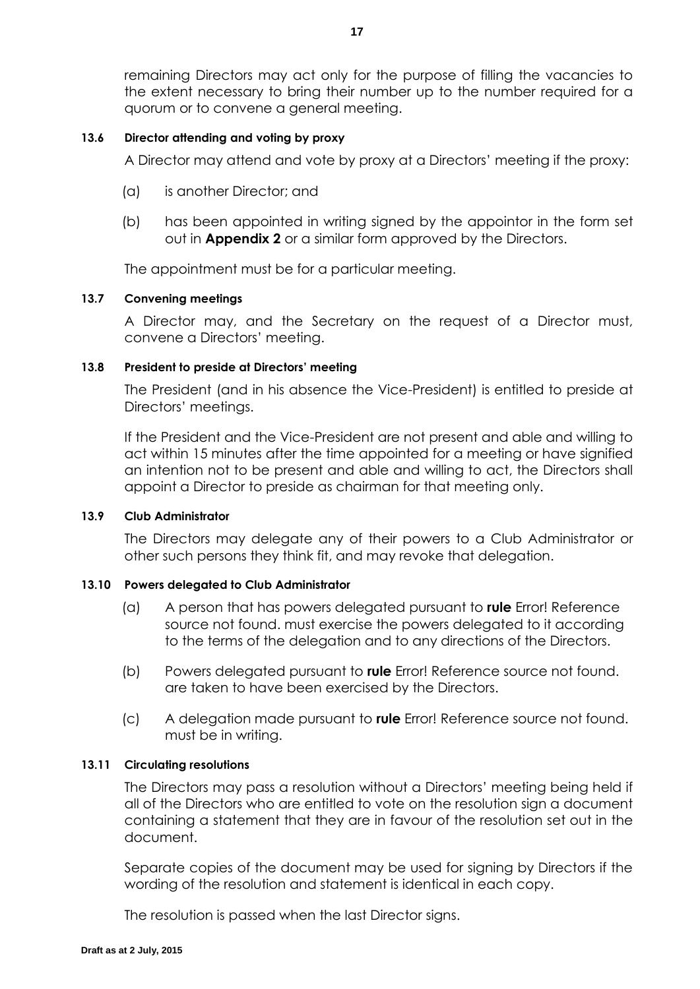remaining Directors may act only for the purpose of filling the vacancies to the extent necessary to bring their number up to the number required for a quorum or to convene a general meeting.

### **13.6 Director attending and voting by proxy**

A Director may attend and vote by proxy at a Directors' meeting if the proxy:

- (a) is another Director; and
- (b) has been appointed in writing signed by the appointor in the form set out in **Appendix 2** or a similar form approved by the Directors.

The appointment must be for a particular meeting.

### **13.7 Convening meetings**

A Director may, and the Secretary on the request of a Director must, convene a Directors' meeting.

### **13.8 President to preside at Directors' meeting**

The President (and in his absence the Vice-President) is entitled to preside at Directors' meetings.

If the President and the Vice-President are not present and able and willing to act within 15 minutes after the time appointed for a meeting or have signified an intention not to be present and able and willing to act, the Directors shall appoint a Director to preside as chairman for that meeting only.

#### **13.9 Club Administrator**

The Directors may delegate any of their powers to a Club Administrator or other such persons they think fit, and may revoke that delegation.

### **13.10 Powers delegated to Club Administrator**

- (a) A person that has powers delegated pursuant to **rule** Error! Reference source not found. must exercise the powers delegated to it according to the terms of the delegation and to any directions of the Directors.
- (b) Powers delegated pursuant to **rule** Error! Reference source not found. are taken to have been exercised by the Directors.
- (c) A delegation made pursuant to **rule** Error! Reference source not found. must be in writing.

#### **13.11 Circulating resolutions**

The Directors may pass a resolution without a Directors' meeting being held if all of the Directors who are entitled to vote on the resolution sign a document containing a statement that they are in favour of the resolution set out in the document.

Separate copies of the document may be used for signing by Directors if the wording of the resolution and statement is identical in each copy.

The resolution is passed when the last Director signs.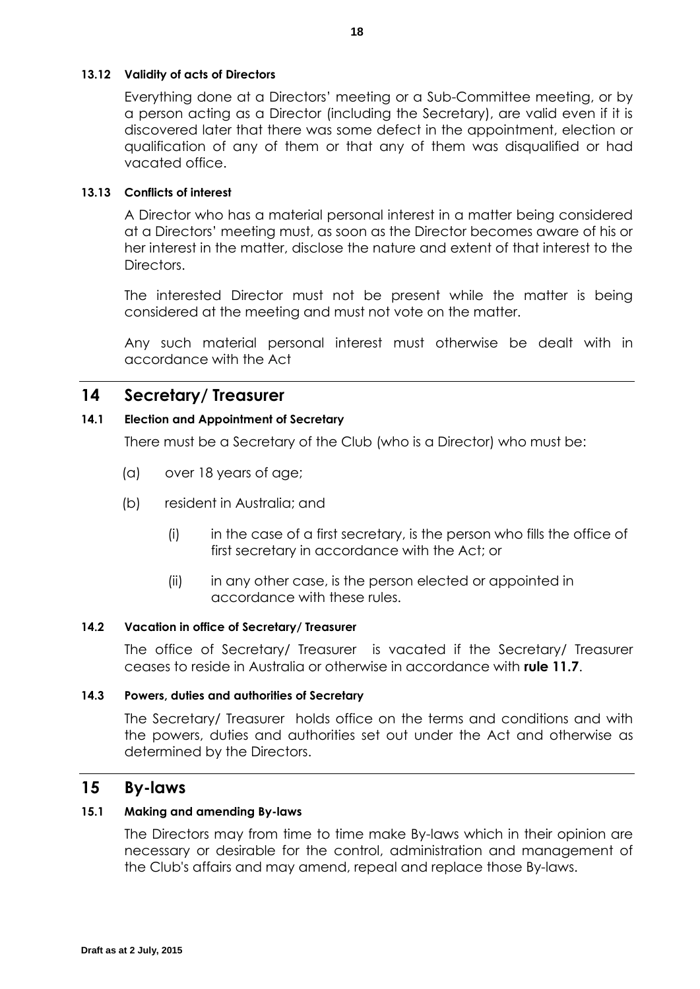### **13.12 Validity of acts of Directors**

Everything done at a Directors' meeting or a Sub-Committee meeting, or by a person acting as a Director (including the Secretary), are valid even if it is discovered later that there was some defect in the appointment, election or qualification of any of them or that any of them was disqualified or had vacated office.

### **13.13 Conflicts of interest**

A Director who has a material personal interest in a matter being considered at a Directors' meeting must, as soon as the Director becomes aware of his or her interest in the matter, disclose the nature and extent of that interest to the Directors.

The interested Director must not be present while the matter is being considered at the meeting and must not vote on the matter.

Any such material personal interest must otherwise be dealt with in accordance with the Act

### **14 Secretary/ Treasurer**

### **14.1 Election and Appointment of Secretary**

There must be a Secretary of the Club (who is a Director) who must be:

- (a) over 18 years of age;
- (b) resident in Australia; and
	- (i) in the case of a first secretary, is the person who fills the office of first secretary in accordance with the Act; or
	- (ii) in any other case, is the person elected or appointed in accordance with these rules.

### **14.2 Vacation in office of Secretary/ Treasurer**

The office of Secretary/ Treasurer is vacated if the Secretary/ Treasurer ceases to reside in Australia or otherwise in accordance with **rule [11.7](#page-19-1)**.

#### **14.3 Powers, duties and authorities of Secretary**

The Secretary/ Treasurer holds office on the terms and conditions and with the powers, duties and authorities set out under the Act and otherwise as determined by the Directors.

### **15 By-laws**

#### **15.1 Making and amending By-laws**

The Directors may from time to time make By-laws which in their opinion are necessary or desirable for the control, administration and management of the Club's affairs and may amend, repeal and replace those By-laws.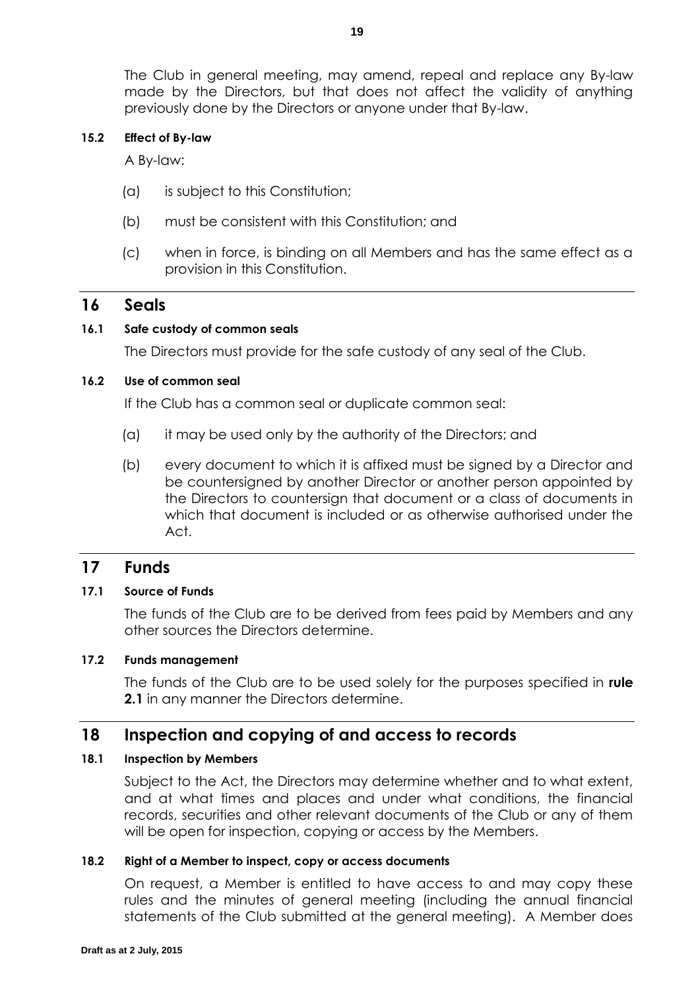The Club in general meeting, may amend, repeal and replace any By-law made by the Directors, but that does not affect the validity of anything previously done by the Directors or anyone under that By-law.

### **15.2 Effect of By-law**

A By-law:

- (a) is subject to this Constitution;
- (b) must be consistent with this Constitution; and
- (c) when in force, is binding on all Members and has the same effect as a provision in this Constitution.

### **16 Seals**

### **16.1 Safe custody of common seals**

The Directors must provide for the safe custody of any seal of the Club.

### **16.2 Use of common seal**

If the Club has a common seal or duplicate common seal:

- (a) it may be used only by the authority of the Directors; and
- (b) every document to which it is affixed must be signed by a Director and be countersigned by another Director or another person appointed by the Directors to countersign that document or a class of documents in which that document is included or as otherwise authorised under the Act.

### **17 Funds**

### **17.1 Source of Funds**

The funds of the Club are to be derived from fees paid by Members and any other sources the Directors determine.

#### **17.2 Funds management**

The funds of the Club are to be used solely for the purposes specified in **rule [2.1](#page-6-3)** in any manner the Directors determine.

### **18 Inspection and copying of and access to records**

### **18.1 Inspection by Members**

Subject to the Act, the Directors may determine whether and to what extent, and at what times and places and under what conditions, the financial records, securities and other relevant documents of the Club or any of them will be open for inspection, copying or access by the Members.

#### **18.2 Right of a Member to inspect, copy or access documents**

On request, a Member is entitled to have access to and may copy these rules and the minutes of general meeting (including the annual financial statements of the Club submitted at the general meeting). A Member does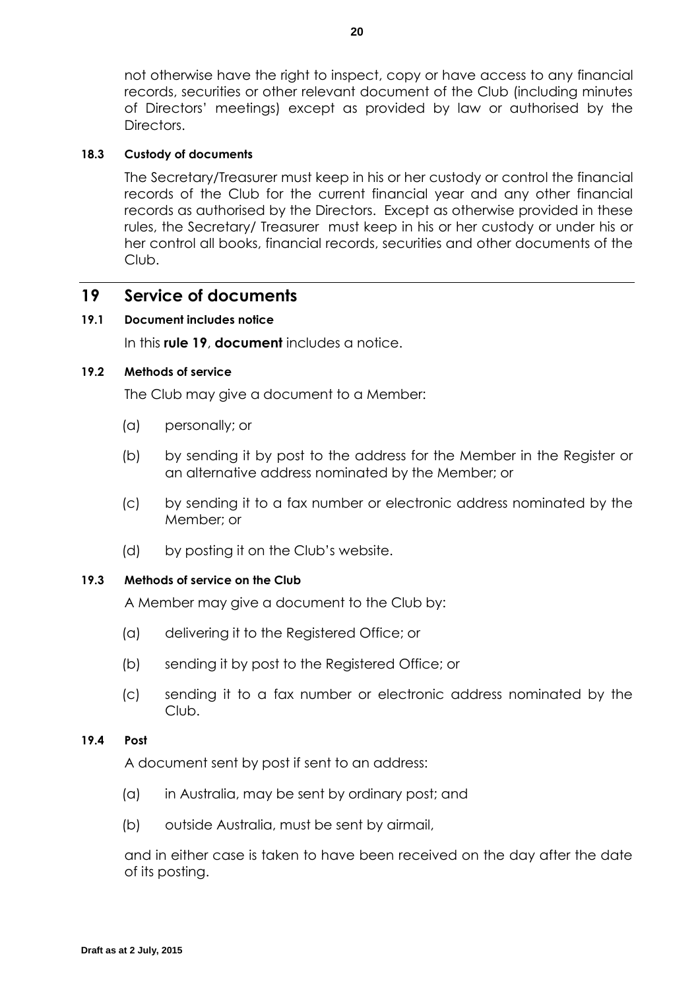not otherwise have the right to inspect, copy or have access to any financial records, securities or other relevant document of the Club (including minutes of Directors' meetings) except as provided by law or authorised by the Directors.

### **18.3 Custody of documents**

The Secretary/Treasurer must keep in his or her custody or control the financial records of the Club for the current financial year and any other financial records as authorised by the Directors. Except as otherwise provided in these rules, the Secretary/ Treasurer must keep in his or her custody or under his or her control all books, financial records, securities and other documents of the Club.

### <span id="page-24-0"></span>**19 Service of documents**

### **19.1 Document includes notice**

In this **rule [19](#page-24-0)**, **document** includes a notice.

#### **19.2 Methods of service**

The Club may give a document to a Member:

- (a) personally; or
- (b) by sending it by post to the address for the Member in the Register or an alternative address nominated by the Member; or
- (c) by sending it to a fax number or electronic address nominated by the Member; or
- (d) by posting it on the Club's website.

#### **19.3 Methods of service on the Club**

A Member may give a document to the Club by:

- (a) delivering it to the Registered Office; or
- (b) sending it by post to the Registered Office; or
- (c) sending it to a fax number or electronic address nominated by the Club.

### **19.4 Post**

A document sent by post if sent to an address:

- (a) in Australia, may be sent by ordinary post; and
- (b) outside Australia, must be sent by airmail,

and in either case is taken to have been received on the day after the date of its posting.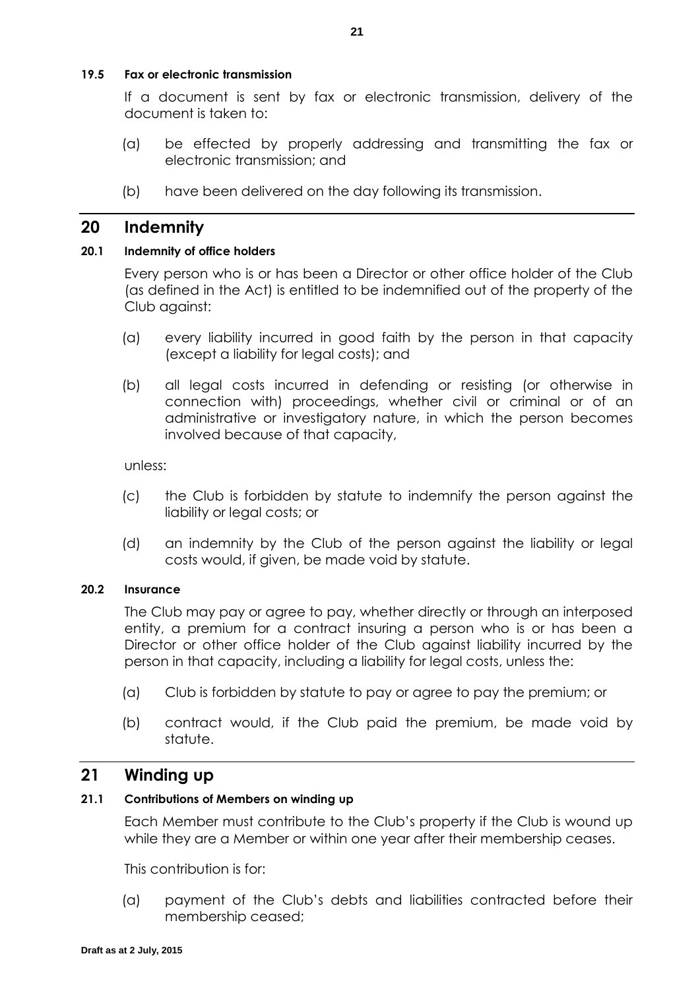### **19.5 Fax or electronic transmission**

If a document is sent by fax or electronic transmission, delivery of the document is taken to:

- (a) be effected by properly addressing and transmitting the fax or electronic transmission; and
- (b) have been delivered on the day following its transmission.

### **20 Indemnity**

### **20.1 Indemnity of office holders**

Every person who is or has been a Director or other office holder of the Club (as defined in the Act) is entitled to be indemnified out of the property of the Club against:

- (a) every liability incurred in good faith by the person in that capacity (except a liability for legal costs); and
- (b) all legal costs incurred in defending or resisting (or otherwise in connection with) proceedings, whether civil or criminal or of an administrative or investigatory nature, in which the person becomes involved because of that capacity,

unless:

- (c) the Club is forbidden by statute to indemnify the person against the liability or legal costs; or
- (d) an indemnity by the Club of the person against the liability or legal costs would, if given, be made void by statute.

### **20.2 Insurance**

The Club may pay or agree to pay, whether directly or through an interposed entity, a premium for a contract insuring a person who is or has been a Director or other office holder of the Club against liability incurred by the person in that capacity, including a liability for legal costs, unless the:

- (a) Club is forbidden by statute to pay or agree to pay the premium; or
- (b) contract would, if the Club paid the premium, be made void by statute.

# **21 Winding up**

### **21.1 Contributions of Members on winding up**

Each Member must contribute to the Club's property if the Club is wound up while they are a Member or within one year after their membership ceases.

This contribution is for:

(a) payment of the Club's debts and liabilities contracted before their membership ceased;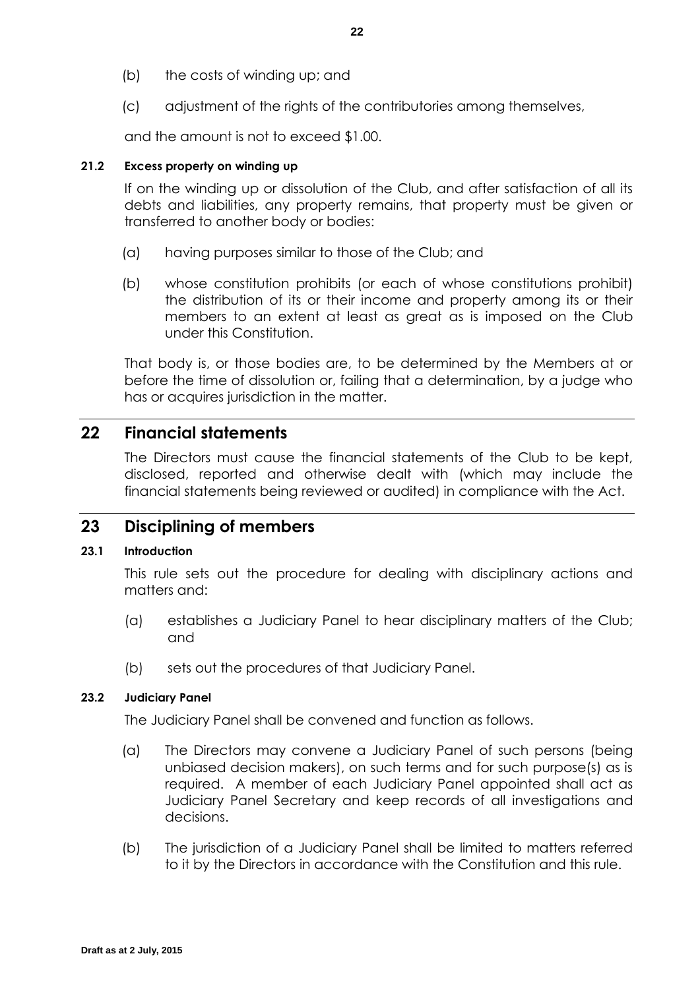- (b) the costs of winding up; and
- (c) adjustment of the rights of the contributories among themselves,

and the amount is not to exceed \$1.00.

### **21.2 Excess property on winding up**

If on the winding up or dissolution of the Club, and after satisfaction of all its debts and liabilities, any property remains, that property must be given or transferred to another body or bodies:

- (a) having purposes similar to those of the Club; and
- (b) whose constitution prohibits (or each of whose constitutions prohibit) the distribution of its or their income and property among its or their members to an extent at least as great as is imposed on the Club under this Constitution.

That body is, or those bodies are, to be determined by the Members at or before the time of dissolution or, failing that a determination, by a judge who has or acquires jurisdiction in the matter.

# **22 Financial statements**

The Directors must cause the financial statements of the Club to be kept, disclosed, reported and otherwise dealt with (which may include the financial statements being reviewed or audited) in compliance with the Act.

# **23 Disciplining of members**

### **23.1 Introduction**

This rule sets out the procedure for dealing with disciplinary actions and matters and:

- (a) establishes a Judiciary Panel to hear disciplinary matters of the Club; and
- (b) sets out the procedures of that Judiciary Panel.

### **23.2 Judiciary Panel**

The Judiciary Panel shall be convened and function as follows.

- (a) The Directors may convene a Judiciary Panel of such persons (being unbiased decision makers), on such terms and for such purpose(s) as is required. A member of each Judiciary Panel appointed shall act as Judiciary Panel Secretary and keep records of all investigations and decisions.
- (b) The jurisdiction of a Judiciary Panel shall be limited to matters referred to it by the Directors in accordance with the Constitution and this rule.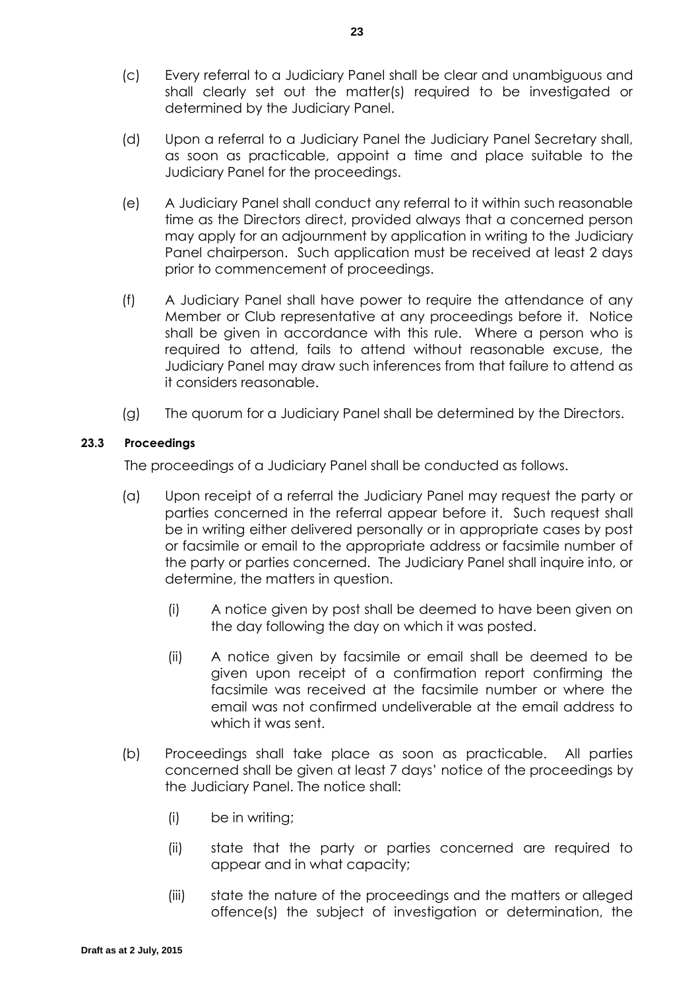- (c) Every referral to a Judiciary Panel shall be clear and unambiguous and shall clearly set out the matter(s) required to be investigated or determined by the Judiciary Panel.
- (d) Upon a referral to a Judiciary Panel the Judiciary Panel Secretary shall, as soon as practicable, appoint a time and place suitable to the Judiciary Panel for the proceedings.
- (e) A Judiciary Panel shall conduct any referral to it within such reasonable time as the Directors direct, provided always that a concerned person may apply for an adjournment by application in writing to the Judiciary Panel chairperson. Such application must be received at least 2 days prior to commencement of proceedings.
- (f) A Judiciary Panel shall have power to require the attendance of any Member or Club representative at any proceedings before it. Notice shall be given in accordance with this rule. Where a person who is required to attend, fails to attend without reasonable excuse, the Judiciary Panel may draw such inferences from that failure to attend as it considers reasonable.
- (g) The quorum for a Judiciary Panel shall be determined by the Directors.

### <span id="page-27-0"></span>**23.3 Proceedings**

The proceedings of a Judiciary Panel shall be conducted as follows.

- (a) Upon receipt of a referral the Judiciary Panel may request the party or parties concerned in the referral appear before it. Such request shall be in writing either delivered personally or in appropriate cases by post or facsimile or email to the appropriate address or facsimile number of the party or parties concerned. The Judiciary Panel shall inquire into, or determine, the matters in question.
	- (i) A notice given by post shall be deemed to have been given on the day following the day on which it was posted.
	- (ii) A notice given by facsimile or email shall be deemed to be given upon receipt of a confirmation report confirming the facsimile was received at the facsimile number or where the email was not confirmed undeliverable at the email address to which it was sent.
- (b) Proceedings shall take place as soon as practicable. All parties concerned shall be given at least 7 days' notice of the proceedings by the Judiciary Panel. The notice shall:
	- (i) be in writing;
	- (ii) state that the party or parties concerned are required to appear and in what capacity;
	- (iii) state the nature of the proceedings and the matters or alleged offence(s) the subject of investigation or determination, the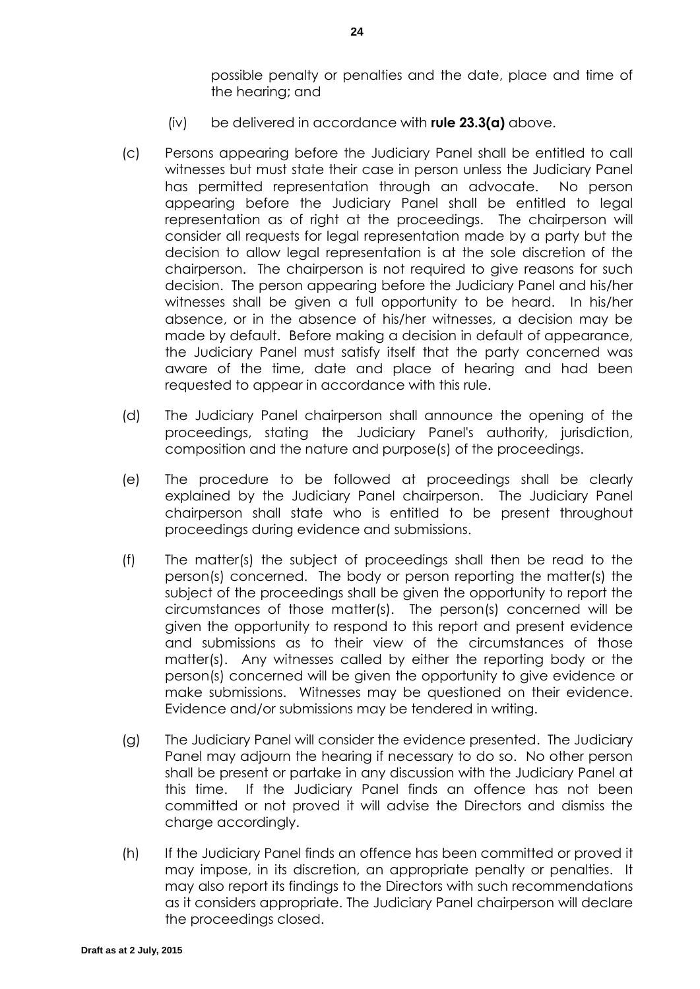possible penalty or penalties and the date, place and time of the hearing; and

- (iv) be delivered in accordance with **rule [23.3\(a\)](#page-27-0)** above.
- (c) Persons appearing before the Judiciary Panel shall be entitled to call witnesses but must state their case in person unless the Judiciary Panel has permitted representation through an advocate. No person appearing before the Judiciary Panel shall be entitled to legal representation as of right at the proceedings. The chairperson will consider all requests for legal representation made by a party but the decision to allow legal representation is at the sole discretion of the chairperson. The chairperson is not required to give reasons for such decision. The person appearing before the Judiciary Panel and his/her witnesses shall be given a full opportunity to be heard. In his/her absence, or in the absence of his/her witnesses, a decision may be made by default. Before making a decision in default of appearance, the Judiciary Panel must satisfy itself that the party concerned was aware of the time, date and place of hearing and had been requested to appear in accordance with this rule.
- (d) The Judiciary Panel chairperson shall announce the opening of the proceedings, stating the Judiciary Panel's authority, jurisdiction, composition and the nature and purpose(s) of the proceedings.
- (e) The procedure to be followed at proceedings shall be clearly explained by the Judiciary Panel chairperson. The Judiciary Panel chairperson shall state who is entitled to be present throughout proceedings during evidence and submissions.
- (f) The matter(s) the subject of proceedings shall then be read to the person(s) concerned. The body or person reporting the matter(s) the subject of the proceedings shall be given the opportunity to report the circumstances of those matter(s). The person(s) concerned will be given the opportunity to respond to this report and present evidence and submissions as to their view of the circumstances of those matter(s). Any witnesses called by either the reporting body or the person(s) concerned will be given the opportunity to give evidence or make submissions. Witnesses may be questioned on their evidence. Evidence and/or submissions may be tendered in writing.
- (g) The Judiciary Panel will consider the evidence presented. The Judiciary Panel may adjourn the hearing if necessary to do so. No other person shall be present or partake in any discussion with the Judiciary Panel at this time. If the Judiciary Panel finds an offence has not been committed or not proved it will advise the Directors and dismiss the charge accordingly.
- (h) If the Judiciary Panel finds an offence has been committed or proved it may impose, in its discretion, an appropriate penalty or penalties. It may also report its findings to the Directors with such recommendations as it considers appropriate. The Judiciary Panel chairperson will declare the proceedings closed.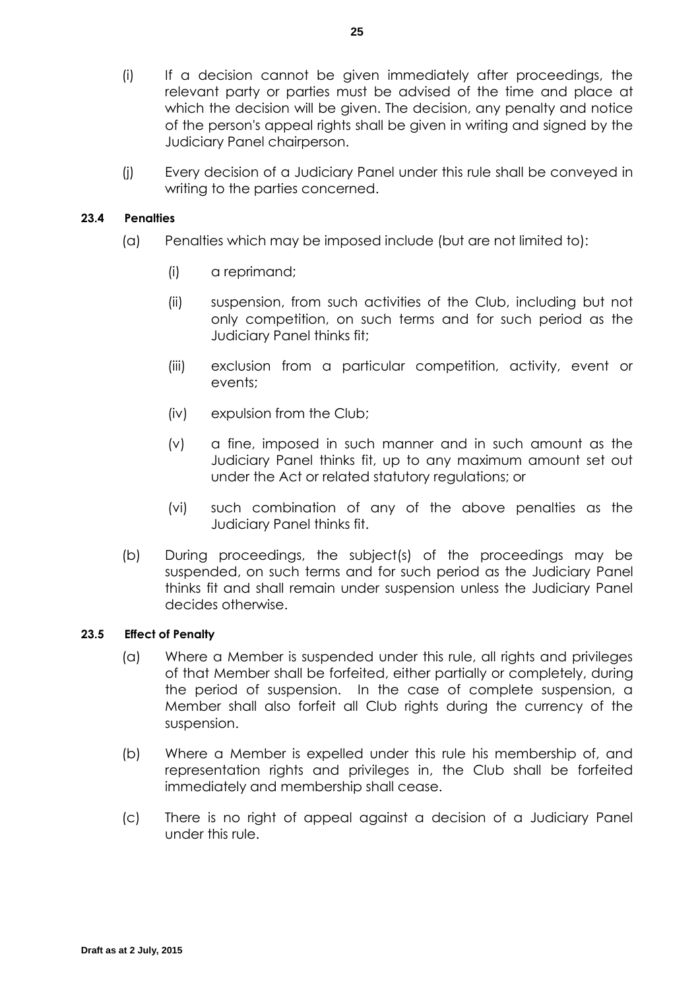- (i) If a decision cannot be given immediately after proceedings, the relevant party or parties must be advised of the time and place at which the decision will be given. The decision, any penalty and notice of the person's appeal rights shall be given in writing and signed by the Judiciary Panel chairperson.
- (j) Every decision of a Judiciary Panel under this rule shall be conveyed in writing to the parties concerned.

### **23.4 Penalties**

- (a) Penalties which may be imposed include (but are not limited to):
	- (i) a reprimand;
	- (ii) suspension, from such activities of the Club, including but not only competition, on such terms and for such period as the Judiciary Panel thinks fit;
	- (iii) exclusion from a particular competition, activity, event or events;
	- (iv) expulsion from the Club;
	- (v) a fine, imposed in such manner and in such amount as the Judiciary Panel thinks fit, up to any maximum amount set out under the Act or related statutory regulations; or
	- (vi) such combination of any of the above penalties as the Judiciary Panel thinks fit.
- (b) During proceedings, the subject(s) of the proceedings may be suspended, on such terms and for such period as the Judiciary Panel thinks fit and shall remain under suspension unless the Judiciary Panel decides otherwise.

### **23.5 Effect of Penalty**

- (a) Where a Member is suspended under this rule, all rights and privileges of that Member shall be forfeited, either partially or completely, during the period of suspension. In the case of complete suspension, a Member shall also forfeit all Club rights during the currency of the suspension.
- (b) Where a Member is expelled under this rule his membership of, and representation rights and privileges in, the Club shall be forfeited immediately and membership shall cease.
- (c) There is no right of appeal against a decision of a Judiciary Panel under this rule.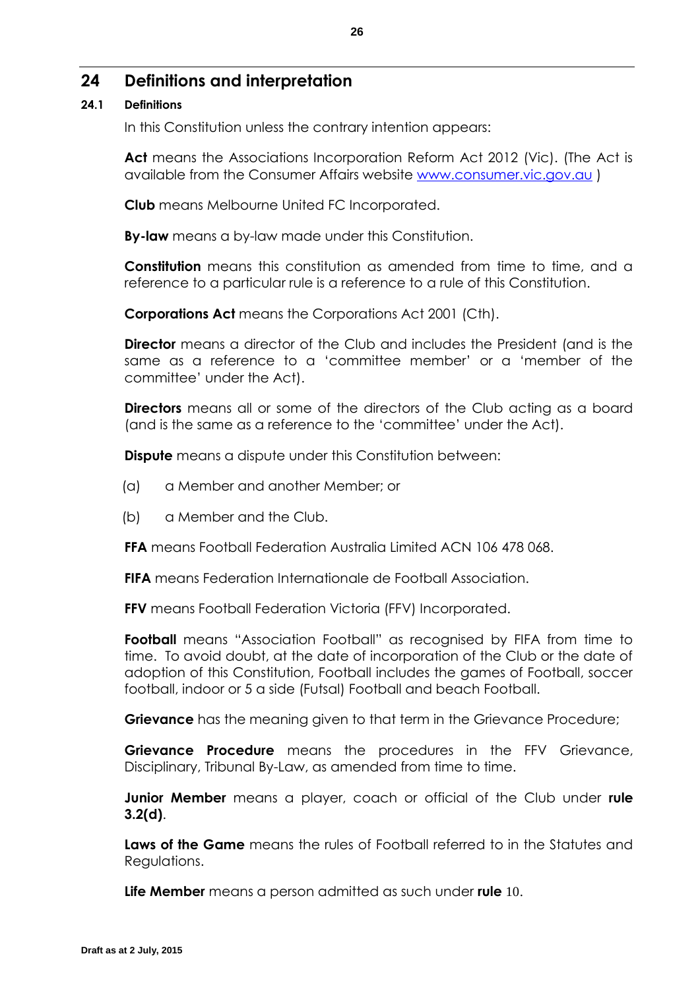# **24 Definitions and interpretation**

### **24.1 Definitions**

In this Constitution unless the contrary intention appears:

**Act** means the Associations Incorporation Reform Act 2012 (Vic). (The Act is available from the Consumer Affairs website [www.consumer.vic.gov.au](http://www.consumer.vic.gov.au/) )

**Club** means Melbourne United FC Incorporated.

**By-law** means a by-law made under this Constitution.

**Constitution** means this constitution as amended from time to time, and a reference to a particular rule is a reference to a rule of this Constitution.

**Corporations Act** means the Corporations Act 2001 (Cth).

**Director** means a director of the Club and includes the President (and is the same as a reference to a 'committee member' or a 'member of the committee' under the Act).

**Directors** means all or some of the directors of the Club acting as a board (and is the same as a reference to the 'committee' under the Act).

**Dispute** means a dispute under this Constitution between:

- (a) a Member and another Member; or
- (b) a Member and the Club.

**FFA** means Football Federation Australia Limited ACN 106 478 068.

**FIFA** means Federation Internationale de Football Association.

**FFV** means Football Federation Victoria (FFV) Incorporated.

**Football** means "Association Football" as recognised by FIFA from time to time. To avoid doubt, at the date of incorporation of the Club or the date of adoption of this Constitution, Football includes the games of Football, soccer football, indoor or 5 a side (Futsal) Football and beach Football.

**Grievance** has the meaning given to that term in the Grievance Procedure;

**Grievance Procedure** means the procedures in the FFV Grievance, Disciplinary, Tribunal By-Law, as amended from time to time.

**Junior Member** means a player, coach or official of the Club under **rule [3.2\(d\)](#page-6-4)**.

**Laws of the Game** means the rules of Football referred to in the Statutes and Regulations.

**Life Member** means a person admitted as such under **rule** [10](#page-16-0).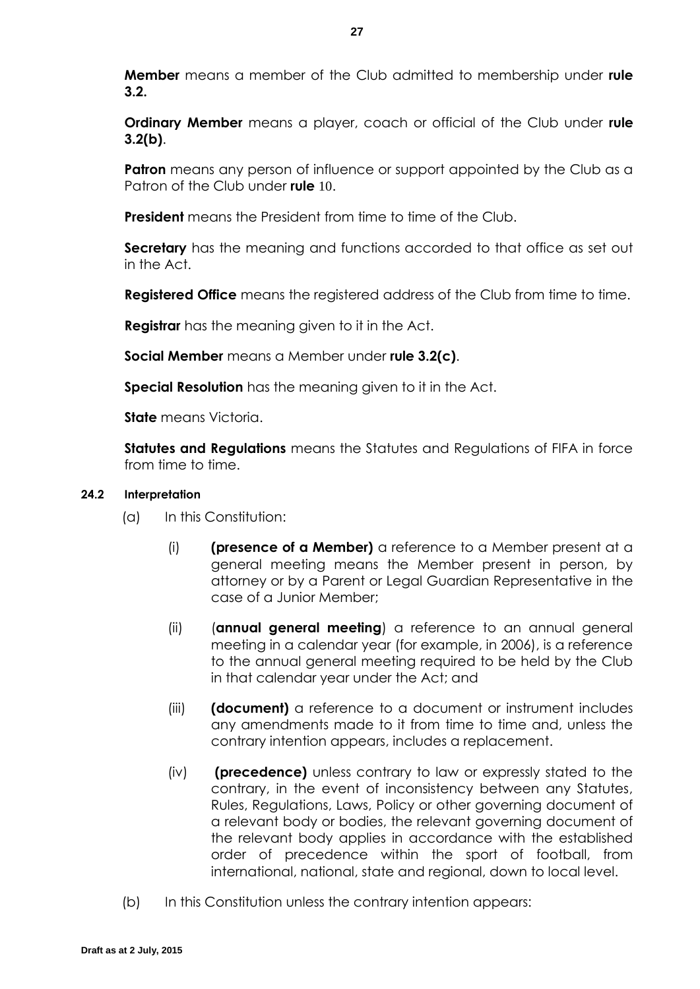**Member** means a member of the Club admitted to membership under **rule [3.2.](#page-6-2)**

**Ordinary Member** means a player, coach or official of the Club under **rule [3.2\(b\)](#page-6-5)**.

**Patron** means any person of influence or support appointed by the Club as a Patron of the Club under **rule** [10](#page-16-0).

**President** means the President from time to time of the Club.

**Secretary** has the meaning and functions accorded to that office as set out in the Act.

**Registered Office** means the registered address of the Club from time to time.

**Registrar** has the meaning given to it in the Act.

**Social Member** means a Member under **rule [3.2\(c\)](#page-6-6)**.

**Special Resolution** has the meaning given to it in the Act.

**State** means Victoria.

**Statutes and Regulations** means the Statutes and Regulations of FIFA in force from time to time.

### **24.2 Interpretation**

- (a) In this Constitution:
	- (i) **(presence of a Member)** a reference to a Member present at a general meeting means the Member present in person, by attorney or by a Parent or Legal Guardian Representative in the case of a Junior Member;
	- (ii) (**annual general meeting**) a reference to an annual general meeting in a calendar year (for example, in 2006), is a reference to the annual general meeting required to be held by the Club in that calendar year under the Act; and
	- (iii) **(document)** a reference to a document or instrument includes any amendments made to it from time to time and, unless the contrary intention appears, includes a replacement.
	- (iv) **(precedence)** unless contrary to law or expressly stated to the contrary, in the event of inconsistency between any Statutes, Rules, Regulations, Laws, Policy or other governing document of a relevant body or bodies, the relevant governing document of the relevant body applies in accordance with the established order of precedence within the sport of football, from international, national, state and regional, down to local level.
- (b) In this Constitution unless the contrary intention appears: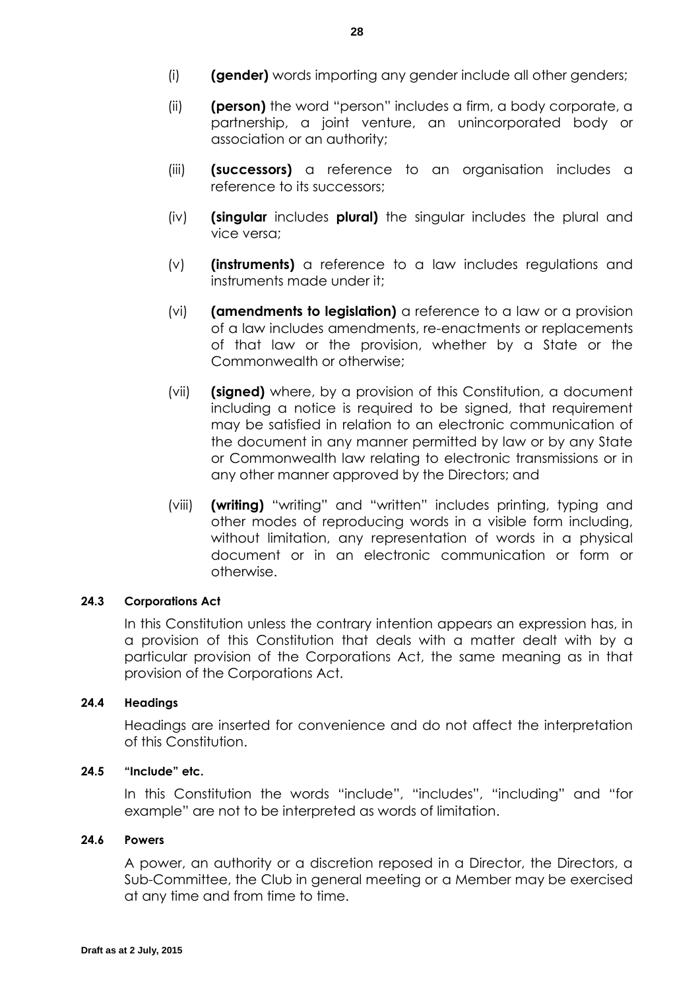- (i) **(gender)** words importing any gender include all other genders;
- (ii) **(person)** the word "person" includes a firm, a body corporate, a partnership, a joint venture, an unincorporated body or association or an authority;
- (iii) **(successors)** a reference to an organisation includes a reference to its successors;
- (iv) **(singular** includes **plural)** the singular includes the plural and vice versa;
- (v) **(instruments)** a reference to a law includes regulations and instruments made under it;
- (vi) **(amendments to legislation)** a reference to a law or a provision of a law includes amendments, re-enactments or replacements of that law or the provision, whether by a State or the Commonwealth or otherwise;
- (vii) **(signed)** where, by a provision of this Constitution, a document including a notice is required to be signed, that requirement may be satisfied in relation to an electronic communication of the document in any manner permitted by law or by any State or Commonwealth law relating to electronic transmissions or in any other manner approved by the Directors; and
- (viii) **(writing)** "writing" and "written" includes printing, typing and other modes of reproducing words in a visible form including, without limitation, any representation of words in a physical document or in an electronic communication or form or otherwise.

### **24.3 Corporations Act**

In this Constitution unless the contrary intention appears an expression has, in a provision of this Constitution that deals with a matter dealt with by a particular provision of the Corporations Act, the same meaning as in that provision of the Corporations Act.

### **24.4 Headings**

Headings are inserted for convenience and do not affect the interpretation of this Constitution.

### **24.5 "Include" etc.**

In this Constitution the words "include", "includes", "including" and "for example" are not to be interpreted as words of limitation.

### **24.6 Powers**

A power, an authority or a discretion reposed in a Director, the Directors, a Sub-Committee, the Club in general meeting or a Member may be exercised at any time and from time to time.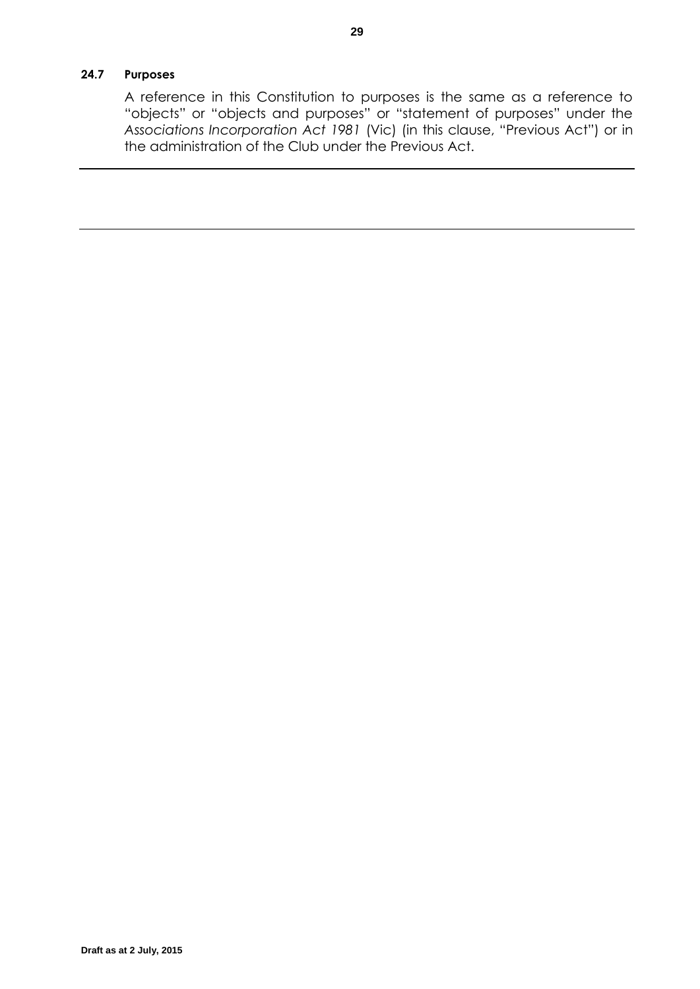### **24.7 Purposes**

A reference in this Constitution to purposes is the same as a reference to "objects" or "objects and purposes" or "statement of purposes" under the *Associations Incorporation Act 1981* (Vic) (in this clause, "Previous Act") or in the administration of the Club under the Previous Act.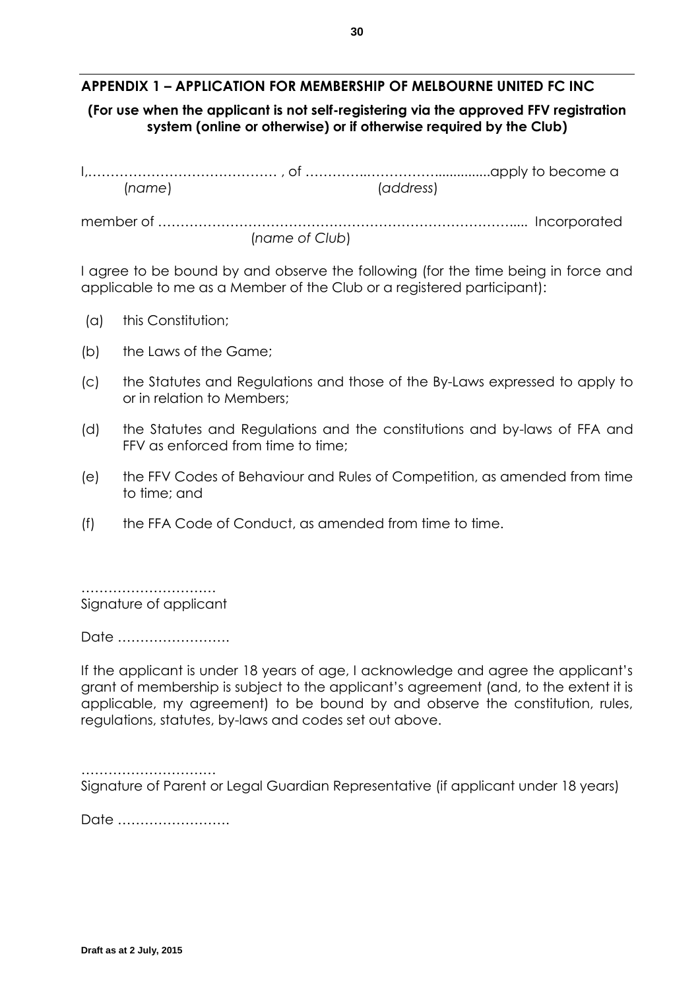# **APPENDIX 1 – APPLICATION FOR MEMBERSHIP OF MELBOURNE UNITED FC INC**

### **(For use when the applicant is not self-registering via the approved FFV registration system (online or otherwise) or if otherwise required by the Club)**

| (name) |                | (address) |  |
|--------|----------------|-----------|--|
|        |                |           |  |
|        | (name of Club) |           |  |

I agree to be bound by and observe the following (for the time being in force and applicable to me as a Member of the Club or a registered participant):

- (a) this Constitution;
- (b) the Laws of the Game;
- (c) the Statutes and Regulations and those of the By-Laws expressed to apply to or in relation to Members;
- (d) the Statutes and Regulations and the constitutions and by-laws of FFA and FFV as enforced from time to time;
- (e) the FFV Codes of Behaviour and Rules of Competition, as amended from time to time; and
- (f) the FFA Code of Conduct, as amended from time to time.

…………………………………… Signature of applicant

Date …………………….

If the applicant is under 18 years of age, I acknowledge and agree the applicant's grant of membership is subject to the applicant's agreement (and, to the extent it is applicable, my agreement) to be bound by and observe the constitution, rules, regulations, statutes, by-laws and codes set out above.

………………………………… Signature of Parent or Legal Guardian Representative (if applicant under 18 years)

Date …………………….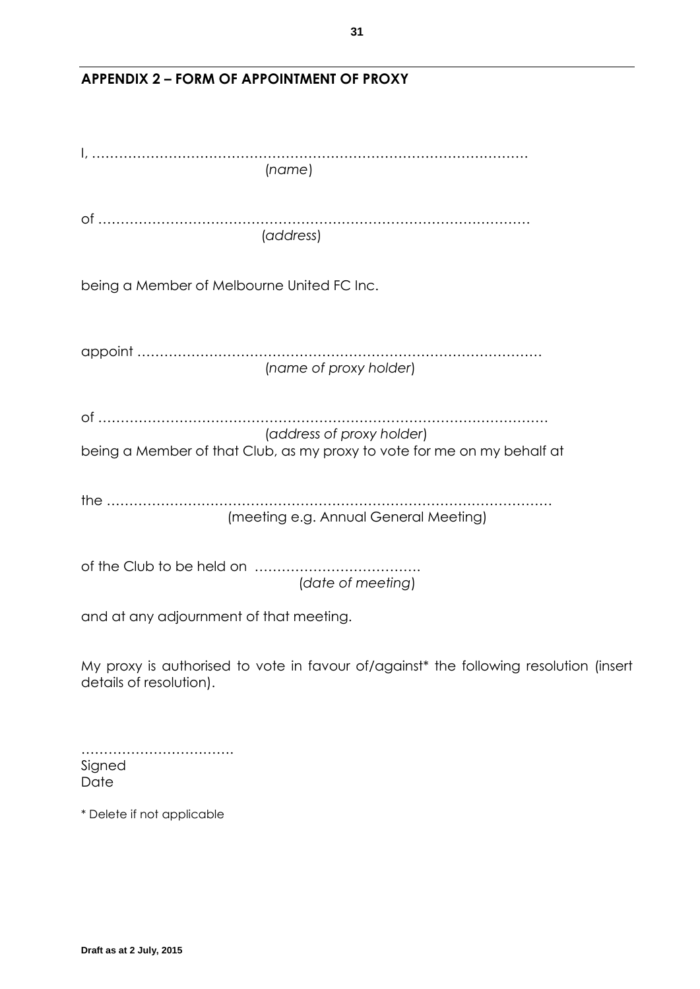| (name)                                                                                                           |
|------------------------------------------------------------------------------------------------------------------|
| (address)                                                                                                        |
| being a Member of Melbourne United FC Inc.                                                                       |
| (name of proxy holder)                                                                                           |
| (address of proxy holder)                                                                                        |
| being a Member of that Club, as my proxy to vote for me on my behalf at                                          |
| (meeting e.g. Annual General Meeting)                                                                            |
| of the Club to be held on<br>(date of meeting)                                                                   |
| and at any adjournment of that meeting.                                                                          |
| My proxy is authorised to vote in favour of/against* the following resolution (insert<br>details of resolution). |
|                                                                                                                  |

# **APPENDIX 2 – FORM OF APPOINTMENT OF PROXY**

Signed Date \* Delete if not applicable

…………………………….